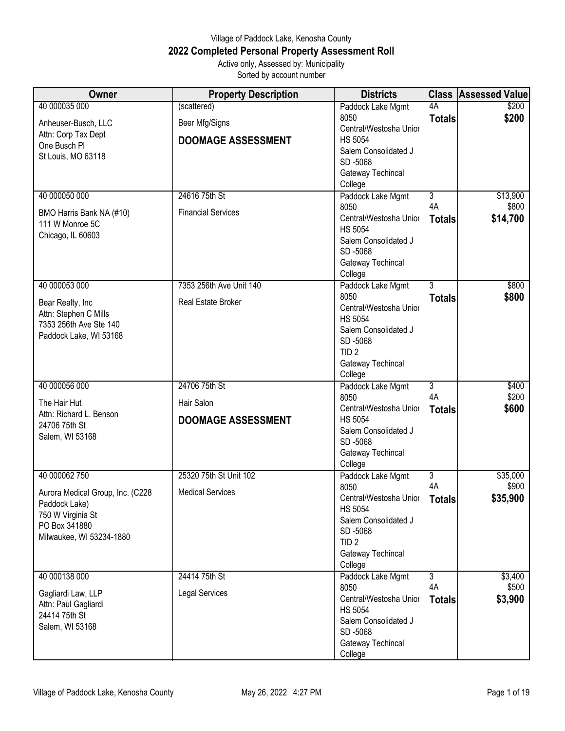## Village of Paddock Lake, Kenosha County **2022 Completed Personal Property Assessment Roll** Active only, Assessed by: Municipality

Sorted by account number

| Owner                                     | <b>Property Description</b> | <b>Districts</b>                |                | <b>Class Assessed Value</b> |
|-------------------------------------------|-----------------------------|---------------------------------|----------------|-----------------------------|
| 40 000035 000                             | (scattered)                 | Paddock Lake Mgmt               | 4A             | \$200                       |
| Anheuser-Busch, LLC                       | Beer Mfg/Signs              | 8050                            | <b>Totals</b>  | \$200                       |
| Attn: Corp Tax Dept                       |                             | Central/Westosha Unior          |                |                             |
| One Busch Pl                              | <b>DOOMAGE ASSESSMENT</b>   | <b>HS 5054</b>                  |                |                             |
| St Louis, MO 63118                        |                             | Salem Consolidated J            |                |                             |
|                                           |                             | SD-5068                         |                |                             |
|                                           |                             | Gateway Techincal               |                |                             |
| 40 000050 000                             | 24616 75th St               | College                         | $\overline{3}$ |                             |
|                                           |                             | Paddock Lake Mgmt<br>8050       | 4A             | \$13,900<br>\$800           |
| BMO Harris Bank NA (#10)                  | <b>Financial Services</b>   | Central/Westosha Unior          |                | \$14,700                    |
| 111 W Monroe 5C                           |                             | <b>HS 5054</b>                  | <b>Totals</b>  |                             |
| Chicago, IL 60603                         |                             | Salem Consolidated J            |                |                             |
|                                           |                             | SD-5068                         |                |                             |
|                                           |                             | Gateway Techincal               |                |                             |
|                                           |                             | College                         |                |                             |
| 40 000053 000                             | 7353 256th Ave Unit 140     | Paddock Lake Mgmt               | 3              | \$800                       |
|                                           | Real Estate Broker          | 8050                            | <b>Totals</b>  | \$800                       |
| Bear Realty, Inc<br>Attn: Stephen C Mills |                             | Central/Westosha Unior          |                |                             |
| 7353 256th Ave Ste 140                    |                             | <b>HS 5054</b>                  |                |                             |
| Paddock Lake, WI 53168                    |                             | Salem Consolidated J            |                |                             |
|                                           |                             | SD-5068                         |                |                             |
|                                           |                             | TID <sub>2</sub>                |                |                             |
|                                           |                             | Gateway Techincal               |                |                             |
| 40 000056 000                             | 24706 75th St               | College                         | $\overline{3}$ | \$400                       |
|                                           |                             | Paddock Lake Mgmt<br>8050       | 4A             | \$200                       |
| The Hair Hut                              | Hair Salon                  | Central/Westosha Unior          | <b>Totals</b>  | \$600                       |
| Attn: Richard L. Benson                   | <b>DOOMAGE ASSESSMENT</b>   | <b>HS 5054</b>                  |                |                             |
| 24706 75th St                             |                             | Salem Consolidated J            |                |                             |
| Salem, WI 53168                           |                             | SD-5068                         |                |                             |
|                                           |                             | Gateway Techincal               |                |                             |
|                                           |                             | College                         |                |                             |
| 40 000062 750                             | 25320 75th St Unit 102      | Paddock Lake Mgmt               | $\overline{3}$ | \$35,000                    |
| Aurora Medical Group, Inc. (C228          | <b>Medical Services</b>     | 8050                            | 4A             | \$900                       |
| Paddock Lake)                             |                             | Central/Westosha Unior          | Totals         | \$35,900                    |
| 750 W Virginia St                         |                             | <b>HS 5054</b>                  |                |                             |
| PO Box 341880                             |                             | Salem Consolidated J<br>SD-5068 |                |                             |
| Milwaukee, WI 53234-1880                  |                             | TID <sub>2</sub>                |                |                             |
|                                           |                             | Gateway Techincal               |                |                             |
|                                           |                             | College                         |                |                             |
| 40 000138 000                             | 24414 75th St               | Paddock Lake Mgmt               | دى             | \$3,400                     |
|                                           |                             | 8050                            | 4A             | \$500                       |
| Gagliardi Law, LLP                        | <b>Legal Services</b>       | Central/Westosha Unior          | <b>Totals</b>  | \$3,900                     |
| Attn: Paul Gagliardi                      |                             | <b>HS 5054</b>                  |                |                             |
| 24414 75th St                             |                             | Salem Consolidated J            |                |                             |
| Salem, WI 53168                           |                             | SD-5068                         |                |                             |
|                                           |                             | Gateway Techincal               |                |                             |
|                                           |                             | College                         |                |                             |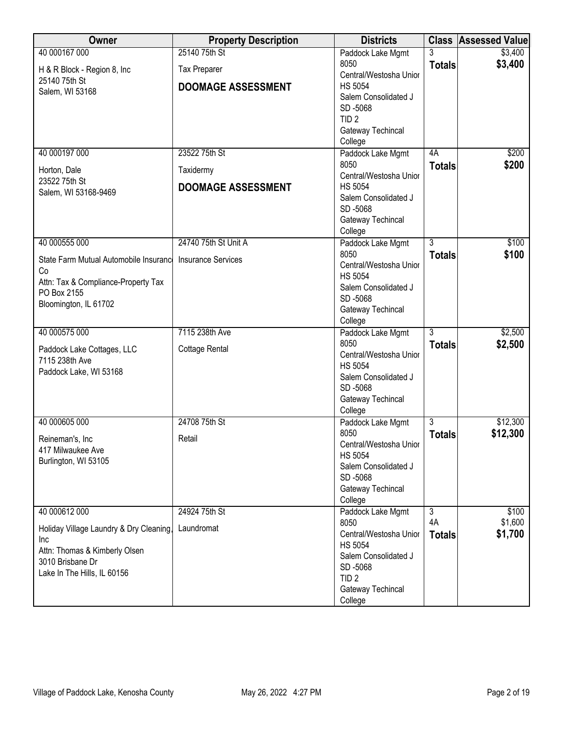| Owner                                              | <b>Property Description</b> | <b>Districts</b>                       |                | <b>Class Assessed Value</b> |
|----------------------------------------------------|-----------------------------|----------------------------------------|----------------|-----------------------------|
| 40 000167 000                                      | 25140 75th St               | Paddock Lake Mgmt                      |                | \$3,400                     |
| H & R Block - Region 8, Inc                        | <b>Tax Preparer</b>         | 8050                                   | <b>Totals</b>  | \$3,400                     |
| 25140 75th St                                      |                             | Central/Westosha Unior                 |                |                             |
| Salem, WI 53168                                    | <b>DOOMAGE ASSESSMENT</b>   | <b>HS 5054</b>                         |                |                             |
|                                                    |                             | Salem Consolidated J<br>SD-5068        |                |                             |
|                                                    |                             | TID <sub>2</sub>                       |                |                             |
|                                                    |                             | Gateway Techincal                      |                |                             |
|                                                    |                             | College                                |                |                             |
| 40 000197 000                                      | 23522 75th St               | Paddock Lake Mgmt                      | 4A             | \$200                       |
| Horton, Dale                                       | Taxidermy                   | 8050                                   | <b>Totals</b>  | \$200                       |
| 23522 75th St                                      |                             | Central/Westosha Unior                 |                |                             |
| Salem, WI 53168-9469                               | <b>DOOMAGE ASSESSMENT</b>   | <b>HS 5054</b>                         |                |                             |
|                                                    |                             | Salem Consolidated J                   |                |                             |
|                                                    |                             | SD-5068                                |                |                             |
|                                                    |                             | Gateway Techincal<br>College           |                |                             |
| 40 000555 000                                      | 24740 75th St Unit A        | Paddock Lake Mgmt                      | $\overline{3}$ | \$100                       |
|                                                    |                             | 8050                                   | <b>Totals</b>  | \$100                       |
| State Farm Mutual Automobile Insurance             | <b>Insurance Services</b>   | Central/Westosha Unior                 |                |                             |
| Co                                                 |                             | <b>HS 5054</b>                         |                |                             |
| Attn: Tax & Compliance-Property Tax<br>PO Box 2155 |                             | Salem Consolidated J                   |                |                             |
| Bloomington, IL 61702                              |                             | SD-5068                                |                |                             |
|                                                    |                             | Gateway Techincal                      |                |                             |
|                                                    |                             | College                                |                |                             |
| 40 000575 000                                      | 7115 238th Ave              | Paddock Lake Mgmt<br>8050              | $\overline{3}$ | \$2,500                     |
| Paddock Lake Cottages, LLC                         | <b>Cottage Rental</b>       | Central/Westosha Unior                 | <b>Totals</b>  | \$2,500                     |
| 7115 238th Ave                                     |                             | <b>HS 5054</b>                         |                |                             |
| Paddock Lake, WI 53168                             |                             | Salem Consolidated J                   |                |                             |
|                                                    |                             | SD-5068                                |                |                             |
|                                                    |                             | Gateway Techincal                      |                |                             |
|                                                    |                             | College                                |                |                             |
| 40 000605 000                                      | 24708 75th St               | Paddock Lake Mgmt                      | $\overline{3}$ | \$12,300                    |
| Reineman's, Inc.                                   | Retail                      | 8050                                   | <b>Totals</b>  | \$12,300                    |
| 417 Milwaukee Ave                                  |                             | Central/Westosha Unior                 |                |                             |
| Burlington, WI 53105                               |                             | <b>HS 5054</b><br>Salem Consolidated J |                |                             |
|                                                    |                             | SD-5068                                |                |                             |
|                                                    |                             | Gateway Techincal                      |                |                             |
|                                                    |                             | College                                |                |                             |
| 40 000612 000                                      | 24924 75th St               | Paddock Lake Mgmt                      | $\overline{3}$ | \$100                       |
| Holiday Village Laundry & Dry Cleaning,            | Laundromat                  | 8050                                   | 4A             | \$1,600                     |
| Inc                                                |                             | Central/Westosha Unior                 | <b>Totals</b>  | \$1,700                     |
| Attn: Thomas & Kimberly Olsen                      |                             | <b>HS 5054</b>                         |                |                             |
| 3010 Brisbane Dr                                   |                             | Salem Consolidated J                   |                |                             |
| Lake In The Hills, IL 60156                        |                             | SD-5068<br>TID <sub>2</sub>            |                |                             |
|                                                    |                             | Gateway Techincal                      |                |                             |
|                                                    |                             | College                                |                |                             |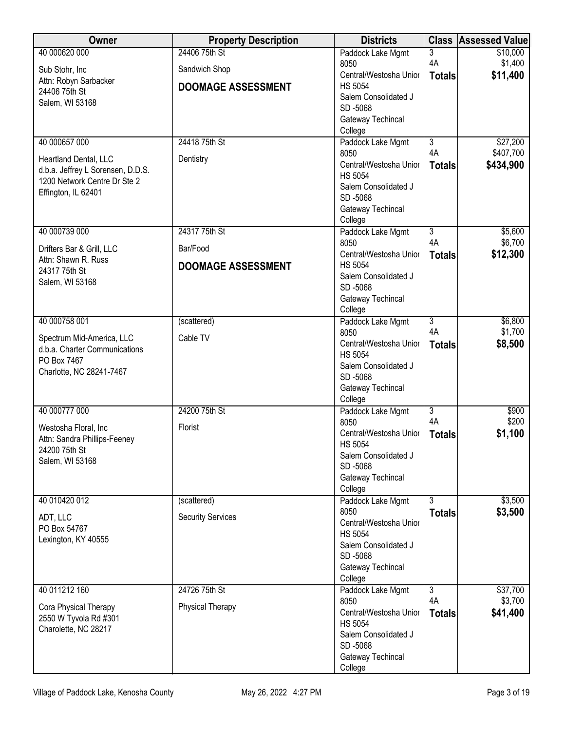| Owner                                          | <b>Property Description</b> | <b>Districts</b>                         |                      | <b>Class Assessed Value</b> |
|------------------------------------------------|-----------------------------|------------------------------------------|----------------------|-----------------------------|
| 40 000620 000                                  | 24406 75th St               | Paddock Lake Mgmt                        | 3                    | \$10,000                    |
| Sub Stohr, Inc                                 | Sandwich Shop               | 8050<br>Central/Westosha Unior           | 4A                   | \$1,400<br>\$11,400         |
| Attn: Robyn Sarbacker                          | <b>DOOMAGE ASSESSMENT</b>   | <b>HS 5054</b>                           | <b>Totals</b>        |                             |
| 24406 75th St<br>Salem, WI 53168               |                             | Salem Consolidated J                     |                      |                             |
|                                                |                             | SD-5068                                  |                      |                             |
|                                                |                             | Gateway Techincal<br>College             |                      |                             |
| 40 000657 000                                  | 24418 75th St               | Paddock Lake Mgmt                        | $\overline{3}$       | \$27,200                    |
| Heartland Dental, LLC                          | Dentistry                   | 8050                                     | 4A                   | \$407,700                   |
| d.b.a. Jeffrey L Sorensen, D.D.S.              |                             | Central/Westosha Unior                   | <b>Totals</b>        | \$434,900                   |
| 1200 Network Centre Dr Ste 2                   |                             | <b>HS 5054</b><br>Salem Consolidated J   |                      |                             |
| Effington, IL 62401                            |                             | SD-5068                                  |                      |                             |
|                                                |                             | Gateway Techincal                        |                      |                             |
|                                                |                             | College                                  |                      |                             |
| 40 000739 000                                  | 24317 75th St               | Paddock Lake Mgmt                        | $\overline{3}$<br>4A | \$5,600<br>\$6,700          |
| Drifters Bar & Grill, LLC                      | Bar/Food                    | 8050<br>Central/Westosha Unior           | <b>Totals</b>        | \$12,300                    |
| Attn: Shawn R. Russ                            | <b>DOOMAGE ASSESSMENT</b>   | <b>HS 5054</b>                           |                      |                             |
| 24317 75th St<br>Salem, WI 53168               |                             | Salem Consolidated J                     |                      |                             |
|                                                |                             | SD-5068                                  |                      |                             |
|                                                |                             | Gateway Techincal<br>College             |                      |                             |
| 40 000758 001                                  | (scattered)                 | Paddock Lake Mgmt                        | $\overline{3}$       | \$6,800                     |
| Spectrum Mid-America, LLC                      | Cable TV                    | 8050                                     | 4A                   | \$1,700                     |
| d.b.a. Charter Communications                  |                             | Central/Westosha Unior<br><b>HS 5054</b> | <b>Totals</b>        | \$8,500                     |
| PO Box 7467                                    |                             | Salem Consolidated J                     |                      |                             |
| Charlotte, NC 28241-7467                       |                             | SD-5068                                  |                      |                             |
|                                                |                             | Gateway Techincal                        |                      |                             |
| 40 000777 000                                  | 24200 75th St               | College                                  | $\overline{3}$       | \$900                       |
|                                                |                             | Paddock Lake Mgmt<br>8050                | 4A                   | \$200                       |
| Westosha Floral, Inc                           | <b>Florist</b>              | Central/Westosha Unior                   | <b>Totals</b>        | \$1,100                     |
| Attn: Sandra Phillips-Feeney<br>24200 75th St  |                             | <b>HS 5054</b>                           |                      |                             |
| Salem, WI 53168                                |                             | Salem Consolidated J<br>SD-5068          |                      |                             |
|                                                |                             | Gateway Techincal                        |                      |                             |
|                                                |                             | College                                  |                      |                             |
| 40 010420 012                                  | (scattered)                 | Paddock Lake Mgmt                        | $\overline{3}$       | \$3,500                     |
| ADT, LLC                                       | <b>Security Services</b>    | 8050<br>Central/Westosha Unior           | <b>Totals</b>        | \$3,500                     |
| PO Box 54767                                   |                             | <b>HS 5054</b>                           |                      |                             |
| Lexington, KY 40555                            |                             | Salem Consolidated J                     |                      |                             |
|                                                |                             | SD-5068                                  |                      |                             |
|                                                |                             | Gateway Techincal<br>College             |                      |                             |
| 40 011212 160                                  | 24726 75th St               | Paddock Lake Mgmt                        | $\overline{3}$       | \$37,700                    |
|                                                | Physical Therapy            | 8050                                     | 4A                   | \$3,700                     |
| Cora Physical Therapy<br>2550 W Tyvola Rd #301 |                             | Central/Westosha Unior                   | <b>Totals</b>        | \$41,400                    |
| Charolette, NC 28217                           |                             | <b>HS 5054</b><br>Salem Consolidated J   |                      |                             |
|                                                |                             | SD-5068                                  |                      |                             |
|                                                |                             | Gateway Techincal                        |                      |                             |
|                                                |                             | College                                  |                      |                             |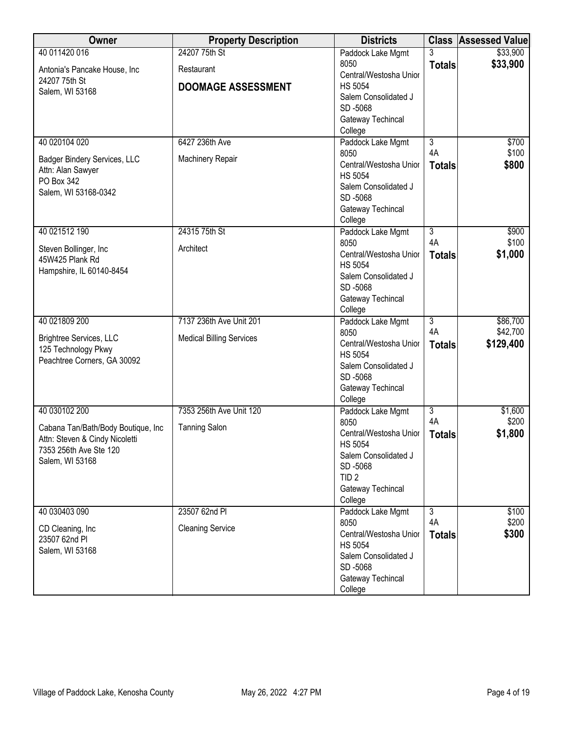| Owner                                             | <b>Property Description</b>     | <b>Districts</b>                         |                      | <b>Class Assessed Value</b> |
|---------------------------------------------------|---------------------------------|------------------------------------------|----------------------|-----------------------------|
| 40 011420 016                                     | 24207 75th St                   | Paddock Lake Mgmt                        | 3                    | \$33,900                    |
| Antonia's Pancake House, Inc.                     | Restaurant                      | 8050                                     | <b>Totals</b>        | \$33,900                    |
| 24207 75th St                                     |                                 | Central/Westosha Unior                   |                      |                             |
| Salem, WI 53168                                   | <b>DOOMAGE ASSESSMENT</b>       | <b>HS 5054</b><br>Salem Consolidated J   |                      |                             |
|                                                   |                                 | SD-5068                                  |                      |                             |
|                                                   |                                 | Gateway Techincal                        |                      |                             |
|                                                   |                                 | College                                  |                      |                             |
| 40 020104 020                                     | 6427 236th Ave                  | Paddock Lake Mgmt                        | $\overline{3}$       | \$700                       |
|                                                   | Machinery Repair                | 8050                                     | 4A                   | \$100                       |
| Badger Bindery Services, LLC<br>Attn: Alan Sawyer |                                 | Central/Westosha Unior                   | <b>Totals</b>        | \$800                       |
| PO Box 342                                        |                                 | <b>HS 5054</b>                           |                      |                             |
| Salem, WI 53168-0342                              |                                 | Salem Consolidated J                     |                      |                             |
|                                                   |                                 | SD-5068                                  |                      |                             |
|                                                   |                                 | Gateway Techincal<br>College             |                      |                             |
| 40 021512 190                                     | 24315 75th St                   | Paddock Lake Mgmt                        | $\overline{3}$       | \$900                       |
|                                                   |                                 | 8050                                     | 4A                   | \$100                       |
| Steven Bollinger, Inc                             | Architect                       | Central/Westosha Unior                   | <b>Totals</b>        | \$1,000                     |
| 45W425 Plank Rd                                   |                                 | <b>HS 5054</b>                           |                      |                             |
| Hampshire, IL 60140-8454                          |                                 | Salem Consolidated J                     |                      |                             |
|                                                   |                                 | SD-5068                                  |                      |                             |
|                                                   |                                 | Gateway Techincal                        |                      |                             |
|                                                   |                                 | College                                  |                      |                             |
| 40 021809 200                                     | 7137 236th Ave Unit 201         | Paddock Lake Mgmt<br>8050                | $\overline{3}$<br>4A | \$86,700<br>\$42,700        |
| Brightree Services, LLC                           | <b>Medical Billing Services</b> | Central/Westosha Unior                   | <b>Totals</b>        | \$129,400                   |
| 125 Technology Pkwy                               |                                 | <b>HS 5054</b>                           |                      |                             |
| Peachtree Corners, GA 30092                       |                                 | Salem Consolidated J                     |                      |                             |
|                                                   |                                 | SD-5068                                  |                      |                             |
|                                                   |                                 | Gateway Techincal                        |                      |                             |
|                                                   |                                 | College                                  |                      |                             |
| 40 030102 200                                     | 7353 256th Ave Unit 120         | Paddock Lake Mgmt                        | $\overline{3}$       | \$1,600                     |
| Cabana Tan/Bath/Body Boutique, Inc.               | <b>Tanning Salon</b>            | 8050<br>Central/Westosha Unior           | 4A                   | \$200                       |
| Attn: Steven & Cindy Nicoletti                    |                                 | <b>HS 5054</b>                           | <b>Totals</b>        | \$1,800                     |
| 7353 256th Ave Ste 120                            |                                 | Salem Consolidated J                     |                      |                             |
| Salem, WI 53168                                   |                                 | SD-5068                                  |                      |                             |
|                                                   |                                 | TID <sub>2</sub>                         |                      |                             |
|                                                   |                                 | Gateway Techincal                        |                      |                             |
|                                                   |                                 | College                                  |                      |                             |
| 40 030403 090                                     | 23507 62nd PI                   | Paddock Lake Mgmt                        | $\overline{3}$       | \$100                       |
| CD Cleaning, Inc.                                 | <b>Cleaning Service</b>         | 8050                                     | 4A                   | \$200                       |
| 23507 62nd PI                                     |                                 | Central/Westosha Unior<br><b>HS 5054</b> | <b>Totals</b>        | \$300                       |
| Salem, WI 53168                                   |                                 | Salem Consolidated J                     |                      |                             |
|                                                   |                                 | SD-5068                                  |                      |                             |
|                                                   |                                 | Gateway Techincal                        |                      |                             |
|                                                   |                                 | College                                  |                      |                             |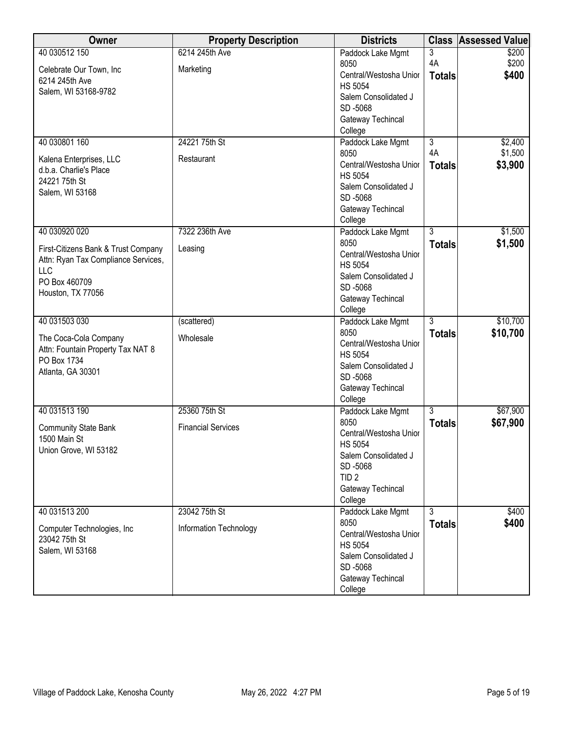| Owner                                      | <b>Property Description</b> | <b>Districts</b>                       | <b>Class</b>                    | <b>Assessed Value</b> |
|--------------------------------------------|-----------------------------|----------------------------------------|---------------------------------|-----------------------|
| 40 030512 150                              | 6214 245th Ave              | Paddock Lake Mgmt<br>8050              | 3<br>4A                         | \$200<br>\$200        |
| Celebrate Our Town, Inc.<br>6214 245th Ave | Marketing                   | Central/Westosha Unior                 | <b>Totals</b>                   | \$400                 |
| Salem, WI 53168-9782                       |                             | <b>HS 5054</b><br>Salem Consolidated J |                                 |                       |
|                                            |                             | SD-5068                                |                                 |                       |
|                                            |                             | Gateway Techincal                      |                                 |                       |
|                                            |                             | College                                |                                 |                       |
| 40 030801 160                              | 24221 75th St               | Paddock Lake Mgmt<br>8050              | $\overline{3}$<br>4A            | \$2,400<br>\$1,500    |
| Kalena Enterprises, LLC                    | Restaurant                  | Central/Westosha Unior                 | <b>Totals</b>                   | \$3,900               |
| d.b.a. Charlie's Place<br>24221 75th St    |                             | <b>HS 5054</b>                         |                                 |                       |
| Salem, WI 53168                            |                             | Salem Consolidated J<br>SD-5068        |                                 |                       |
|                                            |                             | Gateway Techincal                      |                                 |                       |
|                                            |                             | College                                |                                 |                       |
| 40 030920 020                              | 7322 236th Ave              | Paddock Lake Mgmt                      | $\overline{3}$                  | \$1,500               |
| First-Citizens Bank & Trust Company        | Leasing                     | 8050<br>Central/Westosha Unior         | <b>Totals</b>                   | \$1,500               |
| Attn: Ryan Tax Compliance Services,        |                             | <b>HS 5054</b>                         |                                 |                       |
| LLC<br>PO Box 460709                       |                             | Salem Consolidated J                   |                                 |                       |
| Houston, TX 77056                          |                             | SD-5068                                |                                 |                       |
|                                            |                             | Gateway Techincal<br>College           |                                 |                       |
| 40 031503 030                              | (scattered)                 | Paddock Lake Mgmt                      | $\overline{3}$                  | \$10,700              |
| The Coca-Cola Company                      | Wholesale                   | 8050                                   | <b>Totals</b>                   | \$10,700              |
| Attn: Fountain Property Tax NAT 8          |                             | Central/Westosha Unior                 |                                 |                       |
| PO Box 1734                                |                             | <b>HS 5054</b><br>Salem Consolidated J |                                 |                       |
| Atlanta, GA 30301                          |                             | SD-5068                                |                                 |                       |
|                                            |                             | Gateway Techincal                      |                                 |                       |
|                                            |                             | College                                |                                 |                       |
| 40 031513 190                              | 25360 75th St               | Paddock Lake Mgmt<br>8050              | $\overline{3}$<br><b>Totals</b> | \$67,900<br>\$67,900  |
| <b>Community State Bank</b>                | <b>Financial Services</b>   | Central/Westosha Unior                 |                                 |                       |
| 1500 Main St<br>Union Grove, WI 53182      |                             | <b>HS 5054</b>                         |                                 |                       |
|                                            |                             | Salem Consolidated J                   |                                 |                       |
|                                            |                             | SD-5068<br>TID <sub>2</sub>            |                                 |                       |
|                                            |                             | Gateway Techincal                      |                                 |                       |
|                                            |                             | College                                |                                 |                       |
| 40 031513 200                              | 23042 75th St               | Paddock Lake Mgmt                      | 3                               | \$400                 |
| Computer Technologies, Inc                 | Information Technology      | 8050<br>Central/Westosha Unior         | <b>Totals</b>                   | \$400                 |
| 23042 75th St<br>Salem, WI 53168           |                             | <b>HS 5054</b>                         |                                 |                       |
|                                            |                             | Salem Consolidated J                   |                                 |                       |
|                                            |                             | SD-5068<br>Gateway Techincal           |                                 |                       |
|                                            |                             | College                                |                                 |                       |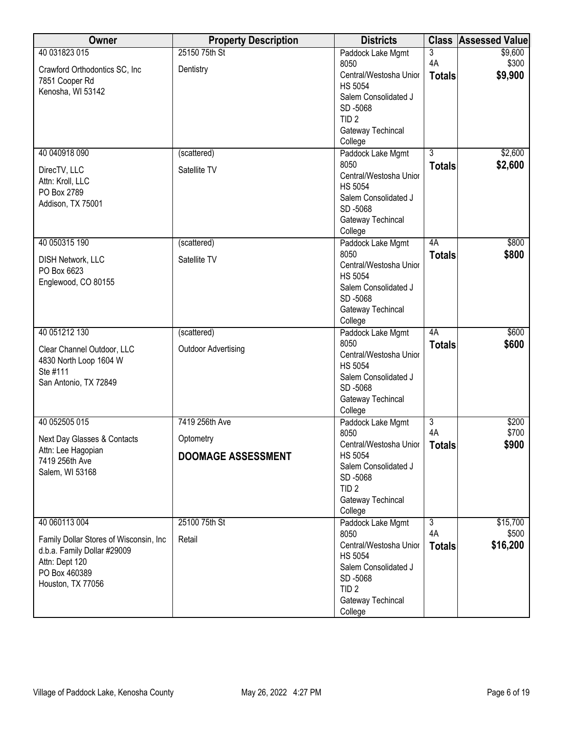| Owner                                  | <b>Property Description</b> | <b>Districts</b>                       |                      | <b>Class Assessed Value</b> |
|----------------------------------------|-----------------------------|----------------------------------------|----------------------|-----------------------------|
| 40 031823 015                          | 25150 75th St               | Paddock Lake Mgmt                      | $\overline{3}$       | \$9,600                     |
| Crawford Orthodontics SC, Inc.         | Dentistry                   | 8050                                   | 4A                   | \$300                       |
| 7851 Cooper Rd                         |                             | Central/Westosha Unior                 | <b>Totals</b>        | \$9,900                     |
| Kenosha, WI 53142                      |                             | <b>HS 5054</b><br>Salem Consolidated J |                      |                             |
|                                        |                             | SD-5068                                |                      |                             |
|                                        |                             | TID <sub>2</sub>                       |                      |                             |
|                                        |                             | Gateway Techincal                      |                      |                             |
|                                        |                             | College                                |                      |                             |
| 40 040918 090                          | (scattered)                 | Paddock Lake Mgmt                      | $\overline{3}$       | \$2,600                     |
| DirecTV, LLC                           | Satellite TV                | 8050                                   | <b>Totals</b>        | \$2,600                     |
| Attn: Kroll, LLC                       |                             | Central/Westosha Unior                 |                      |                             |
| PO Box 2789                            |                             | <b>HS 5054</b>                         |                      |                             |
| Addison, TX 75001                      |                             | Salem Consolidated J                   |                      |                             |
|                                        |                             | SD-5068                                |                      |                             |
|                                        |                             | Gateway Techincal<br>College           |                      |                             |
| 40 050315 190                          | (scattered)                 | Paddock Lake Mgmt                      | 4A                   | \$800                       |
|                                        |                             | 8050                                   | <b>Totals</b>        | \$800                       |
| DISH Network, LLC<br>PO Box 6623       | Satellite TV                | Central/Westosha Unior                 |                      |                             |
| Englewood, CO 80155                    |                             | <b>HS 5054</b>                         |                      |                             |
|                                        |                             | Salem Consolidated J                   |                      |                             |
|                                        |                             | SD-5068                                |                      |                             |
|                                        |                             | Gateway Techincal                      |                      |                             |
| 40 051212 130                          |                             | College                                | 4A                   | \$600                       |
|                                        | (scattered)                 | Paddock Lake Mgmt<br>8050              | <b>Totals</b>        | \$600                       |
| Clear Channel Outdoor, LLC             | <b>Outdoor Advertising</b>  | Central/Westosha Unior                 |                      |                             |
| 4830 North Loop 1604 W                 |                             | <b>HS 5054</b>                         |                      |                             |
| Ste #111                               |                             | Salem Consolidated J                   |                      |                             |
| San Antonio, TX 72849                  |                             | SD-5068                                |                      |                             |
|                                        |                             | Gateway Techincal                      |                      |                             |
|                                        |                             | College                                |                      |                             |
| 40 052505 015                          | 7419 256th Ave              | Paddock Lake Mgmt<br>8050              | $\overline{3}$<br>4A | \$200<br>\$700              |
| Next Day Glasses & Contacts            | Optometry                   | Central/Westosha Unior                 | <b>Totals</b>        | \$900                       |
| Attn: Lee Hagopian                     | <b>DOOMAGE ASSESSMENT</b>   | <b>HS 5054</b>                         |                      |                             |
| 7419 256th Ave                         |                             | Salem Consolidated J                   |                      |                             |
| Salem, WI 53168                        |                             | SD-5068                                |                      |                             |
|                                        |                             | TID <sub>2</sub>                       |                      |                             |
|                                        |                             | Gateway Techincal                      |                      |                             |
|                                        |                             | College                                |                      |                             |
| 40 060113 004                          | 25100 75th St               | Paddock Lake Mgmt<br>8050              | $\overline{3}$<br>4A | \$15,700<br>\$500           |
| Family Dollar Stores of Wisconsin, Inc | Retail                      | Central/Westosha Unior                 | <b>Totals</b>        | \$16,200                    |
| d.b.a. Family Dollar #29009            |                             | <b>HS 5054</b>                         |                      |                             |
| Attn: Dept 120                         |                             | Salem Consolidated J                   |                      |                             |
| PO Box 460389                          |                             | SD-5068                                |                      |                             |
| Houston, TX 77056                      |                             | TID <sub>2</sub>                       |                      |                             |
|                                        |                             | Gateway Techincal                      |                      |                             |
|                                        |                             | College                                |                      |                             |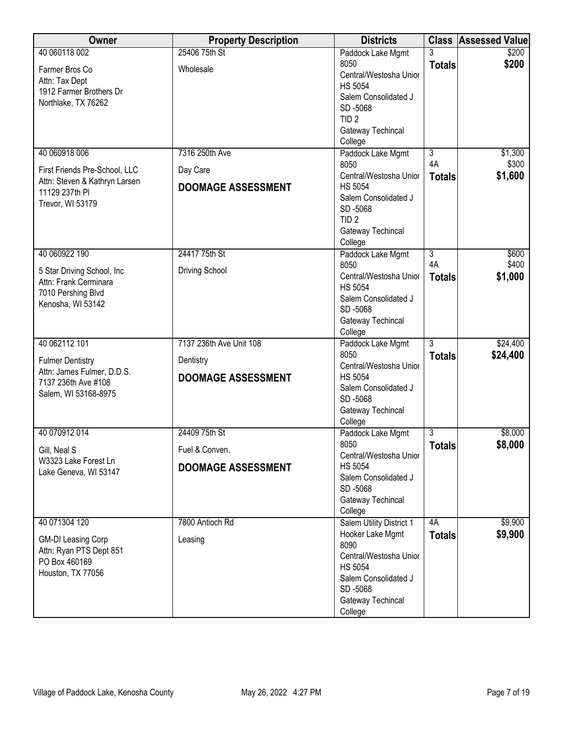| Owner                                             | <b>Property Description</b> | <b>Districts</b>                       |                | <b>Class Assessed Value</b> |
|---------------------------------------------------|-----------------------------|----------------------------------------|----------------|-----------------------------|
| 40 060118 002                                     | 25406 75th St               | Paddock Lake Mgmt                      |                | \$200                       |
| Farmer Bros Co                                    | Wholesale                   | 8050                                   | <b>Totals</b>  | \$200                       |
| Attn: Tax Dept                                    |                             | Central/Westosha Unior                 |                |                             |
| 1912 Farmer Brothers Dr                           |                             | <b>HS 5054</b><br>Salem Consolidated J |                |                             |
| Northlake, TX 76262                               |                             | SD-5068                                |                |                             |
|                                                   |                             | TID <sub>2</sub>                       |                |                             |
|                                                   |                             | Gateway Techincal                      |                |                             |
|                                                   |                             | College                                |                |                             |
| 40 060918 006                                     | 7316 250th Ave              | Paddock Lake Mgmt                      | $\overline{3}$ | \$1,300                     |
| First Friends Pre-School, LLC                     | Day Care                    | 8050                                   | 4A             | \$300                       |
| Attn: Steven & Kathryn Larsen                     |                             | Central/Westosha Unior                 | <b>Totals</b>  | \$1,600                     |
| 11129 237th PI                                    | <b>DOOMAGE ASSESSMENT</b>   | <b>HS 5054</b>                         |                |                             |
| Trevor, WI 53179                                  |                             | Salem Consolidated J                   |                |                             |
|                                                   |                             | SD-5068<br>TID <sub>2</sub>            |                |                             |
|                                                   |                             | Gateway Techincal                      |                |                             |
|                                                   |                             | College                                |                |                             |
| 40 060922 190                                     | 24417 75th St               | Paddock Lake Mgmt                      | $\overline{3}$ | \$600                       |
| 5 Star Driving School, Inc.                       | <b>Driving School</b>       | 8050                                   | 4A             | \$400                       |
| Attn: Frank Cerminara                             |                             | Central/Westosha Unior                 | <b>Totals</b>  | \$1,000                     |
| 7010 Pershing Blvd                                |                             | <b>HS 5054</b>                         |                |                             |
| Kenosha, WI 53142                                 |                             | Salem Consolidated J                   |                |                             |
|                                                   |                             | SD-5068                                |                |                             |
|                                                   |                             | Gateway Techincal<br>College           |                |                             |
| 40 062112 101                                     | 7137 236th Ave Unit 108     | Paddock Lake Mgmt                      | $\overline{3}$ | \$24,400                    |
|                                                   |                             | 8050                                   | <b>Totals</b>  | \$24,400                    |
| <b>Fulmer Dentistry</b>                           | Dentistry                   | Central/Westosha Unior                 |                |                             |
| Attn: James Fulmer, D.D.S.<br>7137 236th Ave #108 | <b>DOOMAGE ASSESSMENT</b>   | <b>HS 5054</b>                         |                |                             |
| Salem, WI 53168-8975                              |                             | Salem Consolidated J                   |                |                             |
|                                                   |                             | SD-5068                                |                |                             |
|                                                   |                             | Gateway Techincal                      |                |                             |
| 40 070912 014                                     | 24409 75th St               | College<br>Paddock Lake Mgmt           | 3              | \$8,000                     |
|                                                   |                             | 8050                                   | <b>Totals</b>  | \$8,000                     |
| Gill, Neal S                                      | Fuel & Conven.              | Central/Westosha Unior                 |                |                             |
| W3323 Lake Forest Ln                              | <b>DOOMAGE ASSESSMENT</b>   | <b>HS 5054</b>                         |                |                             |
| Lake Geneva, WI 53147                             |                             | Salem Consolidated J                   |                |                             |
|                                                   |                             | SD-5068                                |                |                             |
|                                                   |                             | Gateway Techincal                      |                |                             |
|                                                   |                             | College                                |                |                             |
| 40 071304 120                                     | 7800 Antioch Rd             | Salem Utility District 1               | 4A             | \$9,900                     |
| <b>GM-DI Leasing Corp</b>                         | Leasing                     | Hooker Lake Mgmt<br>8090               | <b>Totals</b>  | \$9,900                     |
| Attn: Ryan PTS Dept 851                           |                             | Central/Westosha Unior                 |                |                             |
| PO Box 460169                                     |                             | <b>HS 5054</b>                         |                |                             |
| Houston, TX 77056                                 |                             | Salem Consolidated J                   |                |                             |
|                                                   |                             | SD-5068                                |                |                             |
|                                                   |                             | Gateway Techincal                      |                |                             |
|                                                   |                             | College                                |                |                             |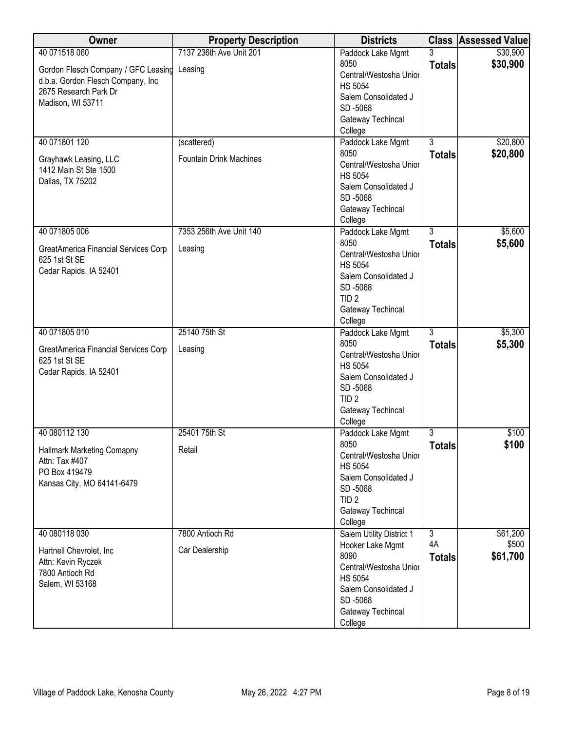| 7137 236th Ave Unit 201<br>\$30,900<br>Paddock Lake Mgmt<br>3<br>8050<br>\$30,900<br><b>Totals</b><br>Gordon Flesch Company / GFC Leasing<br>Leasing<br>Central/Westosha Unior<br>d.b.a. Gordon Flesch Company, Inc<br><b>HS 5054</b><br>2675 Research Park Dr<br>Salem Consolidated J<br>Madison, WI 53711<br>SD-5068<br>Gateway Techincal<br>College<br>40 071801 120<br>$\overline{3}$<br>\$20,800<br>(scattered)<br>Paddock Lake Mgmt<br>\$20,800<br>8050<br><b>Totals</b><br><b>Fountain Drink Machines</b><br>Grayhawk Leasing, LLC<br>Central/Westosha Unior<br>1412 Main St Ste 1500<br><b>HS 5054</b><br>Dallas, TX 75202<br>Salem Consolidated J<br>SD-5068<br>Gateway Techincal<br>College<br>$\overline{3}$<br>40 071805 006<br>7353 256th Ave Unit 140<br>\$5,600<br>Paddock Lake Mgmt<br>8050<br>\$5,600<br><b>Totals</b><br>Leasing<br>GreatAmerica Financial Services Corp<br>Central/Westosha Unior<br>625 1st St SE<br><b>HS 5054</b><br>Cedar Rapids, IA 52401<br>Salem Consolidated J<br>SD-5068<br>TID <sub>2</sub><br>Gateway Techincal<br>College<br>40 071805 010<br>25140 75th St<br>$\overline{3}$<br>\$5,300<br>Paddock Lake Mgmt<br>8050<br>\$5,300<br><b>Totals</b><br>GreatAmerica Financial Services Corp<br>Leasing<br>Central/Westosha Unior<br>625 1st St SE<br><b>HS 5054</b><br>Cedar Rapids, IA 52401<br>Salem Consolidated J<br>SD-5068<br>TID <sub>2</sub><br>Gateway Techincal<br>College<br>40 080112 130<br>25401 75th St<br>$\overline{3}$<br>\$100<br>Paddock Lake Mgmt<br>8050<br>\$100<br><b>Totals</b><br>Retail<br><b>Hallmark Marketing Comapny</b><br>Central/Westosha Unior<br>Attn: Tax #407<br><b>HS 5054</b><br>PO Box 419479<br>Salem Consolidated J<br>Kansas City, MO 64141-6479<br>SD-5068<br>TID <sub>2</sub><br>Gateway Techincal<br>College<br>\$61,200<br>40 080118 030<br>7800 Antioch Rd<br>Salem Utility District 1<br>$\overline{3}$<br>4A<br>\$500<br>Hooker Lake Mgmt<br>Car Dealership<br>Hartnell Chevrolet, Inc.<br>8090<br>\$61,700<br><b>Totals</b><br>Attn: Kevin Ryczek<br>Central/Westosha Unior<br>7800 Antioch Rd<br><b>HS 5054</b><br>Salem, WI 53168<br>Salem Consolidated J<br>SD-5068 | Owner         | <b>Property Description</b> | <b>Districts</b>  | <b>Class Assessed Value</b> |
|-------------------------------------------------------------------------------------------------------------------------------------------------------------------------------------------------------------------------------------------------------------------------------------------------------------------------------------------------------------------------------------------------------------------------------------------------------------------------------------------------------------------------------------------------------------------------------------------------------------------------------------------------------------------------------------------------------------------------------------------------------------------------------------------------------------------------------------------------------------------------------------------------------------------------------------------------------------------------------------------------------------------------------------------------------------------------------------------------------------------------------------------------------------------------------------------------------------------------------------------------------------------------------------------------------------------------------------------------------------------------------------------------------------------------------------------------------------------------------------------------------------------------------------------------------------------------------------------------------------------------------------------------------------------------------------------------------------------------------------------------------------------------------------------------------------------------------------------------------------------------------------------------------------------------------------------------------------------------------------------------------------------------------------------------------------------------------------------------------------------------------------------------------------------------|---------------|-----------------------------|-------------------|-----------------------------|
|                                                                                                                                                                                                                                                                                                                                                                                                                                                                                                                                                                                                                                                                                                                                                                                                                                                                                                                                                                                                                                                                                                                                                                                                                                                                                                                                                                                                                                                                                                                                                                                                                                                                                                                                                                                                                                                                                                                                                                                                                                                                                                                                                                         | 40 071518 060 |                             |                   |                             |
|                                                                                                                                                                                                                                                                                                                                                                                                                                                                                                                                                                                                                                                                                                                                                                                                                                                                                                                                                                                                                                                                                                                                                                                                                                                                                                                                                                                                                                                                                                                                                                                                                                                                                                                                                                                                                                                                                                                                                                                                                                                                                                                                                                         |               |                             |                   |                             |
|                                                                                                                                                                                                                                                                                                                                                                                                                                                                                                                                                                                                                                                                                                                                                                                                                                                                                                                                                                                                                                                                                                                                                                                                                                                                                                                                                                                                                                                                                                                                                                                                                                                                                                                                                                                                                                                                                                                                                                                                                                                                                                                                                                         |               |                             |                   |                             |
|                                                                                                                                                                                                                                                                                                                                                                                                                                                                                                                                                                                                                                                                                                                                                                                                                                                                                                                                                                                                                                                                                                                                                                                                                                                                                                                                                                                                                                                                                                                                                                                                                                                                                                                                                                                                                                                                                                                                                                                                                                                                                                                                                                         |               |                             |                   |                             |
|                                                                                                                                                                                                                                                                                                                                                                                                                                                                                                                                                                                                                                                                                                                                                                                                                                                                                                                                                                                                                                                                                                                                                                                                                                                                                                                                                                                                                                                                                                                                                                                                                                                                                                                                                                                                                                                                                                                                                                                                                                                                                                                                                                         |               |                             |                   |                             |
|                                                                                                                                                                                                                                                                                                                                                                                                                                                                                                                                                                                                                                                                                                                                                                                                                                                                                                                                                                                                                                                                                                                                                                                                                                                                                                                                                                                                                                                                                                                                                                                                                                                                                                                                                                                                                                                                                                                                                                                                                                                                                                                                                                         |               |                             |                   |                             |
|                                                                                                                                                                                                                                                                                                                                                                                                                                                                                                                                                                                                                                                                                                                                                                                                                                                                                                                                                                                                                                                                                                                                                                                                                                                                                                                                                                                                                                                                                                                                                                                                                                                                                                                                                                                                                                                                                                                                                                                                                                                                                                                                                                         |               |                             |                   |                             |
|                                                                                                                                                                                                                                                                                                                                                                                                                                                                                                                                                                                                                                                                                                                                                                                                                                                                                                                                                                                                                                                                                                                                                                                                                                                                                                                                                                                                                                                                                                                                                                                                                                                                                                                                                                                                                                                                                                                                                                                                                                                                                                                                                                         |               |                             |                   |                             |
|                                                                                                                                                                                                                                                                                                                                                                                                                                                                                                                                                                                                                                                                                                                                                                                                                                                                                                                                                                                                                                                                                                                                                                                                                                                                                                                                                                                                                                                                                                                                                                                                                                                                                                                                                                                                                                                                                                                                                                                                                                                                                                                                                                         |               |                             |                   |                             |
|                                                                                                                                                                                                                                                                                                                                                                                                                                                                                                                                                                                                                                                                                                                                                                                                                                                                                                                                                                                                                                                                                                                                                                                                                                                                                                                                                                                                                                                                                                                                                                                                                                                                                                                                                                                                                                                                                                                                                                                                                                                                                                                                                                         |               |                             |                   |                             |
|                                                                                                                                                                                                                                                                                                                                                                                                                                                                                                                                                                                                                                                                                                                                                                                                                                                                                                                                                                                                                                                                                                                                                                                                                                                                                                                                                                                                                                                                                                                                                                                                                                                                                                                                                                                                                                                                                                                                                                                                                                                                                                                                                                         |               |                             |                   |                             |
|                                                                                                                                                                                                                                                                                                                                                                                                                                                                                                                                                                                                                                                                                                                                                                                                                                                                                                                                                                                                                                                                                                                                                                                                                                                                                                                                                                                                                                                                                                                                                                                                                                                                                                                                                                                                                                                                                                                                                                                                                                                                                                                                                                         |               |                             |                   |                             |
|                                                                                                                                                                                                                                                                                                                                                                                                                                                                                                                                                                                                                                                                                                                                                                                                                                                                                                                                                                                                                                                                                                                                                                                                                                                                                                                                                                                                                                                                                                                                                                                                                                                                                                                                                                                                                                                                                                                                                                                                                                                                                                                                                                         |               |                             |                   |                             |
|                                                                                                                                                                                                                                                                                                                                                                                                                                                                                                                                                                                                                                                                                                                                                                                                                                                                                                                                                                                                                                                                                                                                                                                                                                                                                                                                                                                                                                                                                                                                                                                                                                                                                                                                                                                                                                                                                                                                                                                                                                                                                                                                                                         |               |                             |                   |                             |
|                                                                                                                                                                                                                                                                                                                                                                                                                                                                                                                                                                                                                                                                                                                                                                                                                                                                                                                                                                                                                                                                                                                                                                                                                                                                                                                                                                                                                                                                                                                                                                                                                                                                                                                                                                                                                                                                                                                                                                                                                                                                                                                                                                         |               |                             |                   |                             |
|                                                                                                                                                                                                                                                                                                                                                                                                                                                                                                                                                                                                                                                                                                                                                                                                                                                                                                                                                                                                                                                                                                                                                                                                                                                                                                                                                                                                                                                                                                                                                                                                                                                                                                                                                                                                                                                                                                                                                                                                                                                                                                                                                                         |               |                             |                   |                             |
|                                                                                                                                                                                                                                                                                                                                                                                                                                                                                                                                                                                                                                                                                                                                                                                                                                                                                                                                                                                                                                                                                                                                                                                                                                                                                                                                                                                                                                                                                                                                                                                                                                                                                                                                                                                                                                                                                                                                                                                                                                                                                                                                                                         |               |                             |                   |                             |
|                                                                                                                                                                                                                                                                                                                                                                                                                                                                                                                                                                                                                                                                                                                                                                                                                                                                                                                                                                                                                                                                                                                                                                                                                                                                                                                                                                                                                                                                                                                                                                                                                                                                                                                                                                                                                                                                                                                                                                                                                                                                                                                                                                         |               |                             |                   |                             |
|                                                                                                                                                                                                                                                                                                                                                                                                                                                                                                                                                                                                                                                                                                                                                                                                                                                                                                                                                                                                                                                                                                                                                                                                                                                                                                                                                                                                                                                                                                                                                                                                                                                                                                                                                                                                                                                                                                                                                                                                                                                                                                                                                                         |               |                             |                   |                             |
|                                                                                                                                                                                                                                                                                                                                                                                                                                                                                                                                                                                                                                                                                                                                                                                                                                                                                                                                                                                                                                                                                                                                                                                                                                                                                                                                                                                                                                                                                                                                                                                                                                                                                                                                                                                                                                                                                                                                                                                                                                                                                                                                                                         |               |                             |                   |                             |
|                                                                                                                                                                                                                                                                                                                                                                                                                                                                                                                                                                                                                                                                                                                                                                                                                                                                                                                                                                                                                                                                                                                                                                                                                                                                                                                                                                                                                                                                                                                                                                                                                                                                                                                                                                                                                                                                                                                                                                                                                                                                                                                                                                         |               |                             |                   |                             |
|                                                                                                                                                                                                                                                                                                                                                                                                                                                                                                                                                                                                                                                                                                                                                                                                                                                                                                                                                                                                                                                                                                                                                                                                                                                                                                                                                                                                                                                                                                                                                                                                                                                                                                                                                                                                                                                                                                                                                                                                                                                                                                                                                                         |               |                             |                   |                             |
|                                                                                                                                                                                                                                                                                                                                                                                                                                                                                                                                                                                                                                                                                                                                                                                                                                                                                                                                                                                                                                                                                                                                                                                                                                                                                                                                                                                                                                                                                                                                                                                                                                                                                                                                                                                                                                                                                                                                                                                                                                                                                                                                                                         |               |                             |                   |                             |
|                                                                                                                                                                                                                                                                                                                                                                                                                                                                                                                                                                                                                                                                                                                                                                                                                                                                                                                                                                                                                                                                                                                                                                                                                                                                                                                                                                                                                                                                                                                                                                                                                                                                                                                                                                                                                                                                                                                                                                                                                                                                                                                                                                         |               |                             |                   |                             |
|                                                                                                                                                                                                                                                                                                                                                                                                                                                                                                                                                                                                                                                                                                                                                                                                                                                                                                                                                                                                                                                                                                                                                                                                                                                                                                                                                                                                                                                                                                                                                                                                                                                                                                                                                                                                                                                                                                                                                                                                                                                                                                                                                                         |               |                             |                   |                             |
|                                                                                                                                                                                                                                                                                                                                                                                                                                                                                                                                                                                                                                                                                                                                                                                                                                                                                                                                                                                                                                                                                                                                                                                                                                                                                                                                                                                                                                                                                                                                                                                                                                                                                                                                                                                                                                                                                                                                                                                                                                                                                                                                                                         |               |                             |                   |                             |
|                                                                                                                                                                                                                                                                                                                                                                                                                                                                                                                                                                                                                                                                                                                                                                                                                                                                                                                                                                                                                                                                                                                                                                                                                                                                                                                                                                                                                                                                                                                                                                                                                                                                                                                                                                                                                                                                                                                                                                                                                                                                                                                                                                         |               |                             |                   |                             |
|                                                                                                                                                                                                                                                                                                                                                                                                                                                                                                                                                                                                                                                                                                                                                                                                                                                                                                                                                                                                                                                                                                                                                                                                                                                                                                                                                                                                                                                                                                                                                                                                                                                                                                                                                                                                                                                                                                                                                                                                                                                                                                                                                                         |               |                             |                   |                             |
|                                                                                                                                                                                                                                                                                                                                                                                                                                                                                                                                                                                                                                                                                                                                                                                                                                                                                                                                                                                                                                                                                                                                                                                                                                                                                                                                                                                                                                                                                                                                                                                                                                                                                                                                                                                                                                                                                                                                                                                                                                                                                                                                                                         |               |                             |                   |                             |
|                                                                                                                                                                                                                                                                                                                                                                                                                                                                                                                                                                                                                                                                                                                                                                                                                                                                                                                                                                                                                                                                                                                                                                                                                                                                                                                                                                                                                                                                                                                                                                                                                                                                                                                                                                                                                                                                                                                                                                                                                                                                                                                                                                         |               |                             |                   |                             |
|                                                                                                                                                                                                                                                                                                                                                                                                                                                                                                                                                                                                                                                                                                                                                                                                                                                                                                                                                                                                                                                                                                                                                                                                                                                                                                                                                                                                                                                                                                                                                                                                                                                                                                                                                                                                                                                                                                                                                                                                                                                                                                                                                                         |               |                             |                   |                             |
|                                                                                                                                                                                                                                                                                                                                                                                                                                                                                                                                                                                                                                                                                                                                                                                                                                                                                                                                                                                                                                                                                                                                                                                                                                                                                                                                                                                                                                                                                                                                                                                                                                                                                                                                                                                                                                                                                                                                                                                                                                                                                                                                                                         |               |                             |                   |                             |
|                                                                                                                                                                                                                                                                                                                                                                                                                                                                                                                                                                                                                                                                                                                                                                                                                                                                                                                                                                                                                                                                                                                                                                                                                                                                                                                                                                                                                                                                                                                                                                                                                                                                                                                                                                                                                                                                                                                                                                                                                                                                                                                                                                         |               |                             |                   |                             |
|                                                                                                                                                                                                                                                                                                                                                                                                                                                                                                                                                                                                                                                                                                                                                                                                                                                                                                                                                                                                                                                                                                                                                                                                                                                                                                                                                                                                                                                                                                                                                                                                                                                                                                                                                                                                                                                                                                                                                                                                                                                                                                                                                                         |               |                             |                   |                             |
|                                                                                                                                                                                                                                                                                                                                                                                                                                                                                                                                                                                                                                                                                                                                                                                                                                                                                                                                                                                                                                                                                                                                                                                                                                                                                                                                                                                                                                                                                                                                                                                                                                                                                                                                                                                                                                                                                                                                                                                                                                                                                                                                                                         |               |                             |                   |                             |
|                                                                                                                                                                                                                                                                                                                                                                                                                                                                                                                                                                                                                                                                                                                                                                                                                                                                                                                                                                                                                                                                                                                                                                                                                                                                                                                                                                                                                                                                                                                                                                                                                                                                                                                                                                                                                                                                                                                                                                                                                                                                                                                                                                         |               |                             |                   |                             |
|                                                                                                                                                                                                                                                                                                                                                                                                                                                                                                                                                                                                                                                                                                                                                                                                                                                                                                                                                                                                                                                                                                                                                                                                                                                                                                                                                                                                                                                                                                                                                                                                                                                                                                                                                                                                                                                                                                                                                                                                                                                                                                                                                                         |               |                             |                   |                             |
|                                                                                                                                                                                                                                                                                                                                                                                                                                                                                                                                                                                                                                                                                                                                                                                                                                                                                                                                                                                                                                                                                                                                                                                                                                                                                                                                                                                                                                                                                                                                                                                                                                                                                                                                                                                                                                                                                                                                                                                                                                                                                                                                                                         |               |                             |                   |                             |
|                                                                                                                                                                                                                                                                                                                                                                                                                                                                                                                                                                                                                                                                                                                                                                                                                                                                                                                                                                                                                                                                                                                                                                                                                                                                                                                                                                                                                                                                                                                                                                                                                                                                                                                                                                                                                                                                                                                                                                                                                                                                                                                                                                         |               |                             |                   |                             |
|                                                                                                                                                                                                                                                                                                                                                                                                                                                                                                                                                                                                                                                                                                                                                                                                                                                                                                                                                                                                                                                                                                                                                                                                                                                                                                                                                                                                                                                                                                                                                                                                                                                                                                                                                                                                                                                                                                                                                                                                                                                                                                                                                                         |               |                             |                   |                             |
|                                                                                                                                                                                                                                                                                                                                                                                                                                                                                                                                                                                                                                                                                                                                                                                                                                                                                                                                                                                                                                                                                                                                                                                                                                                                                                                                                                                                                                                                                                                                                                                                                                                                                                                                                                                                                                                                                                                                                                                                                                                                                                                                                                         |               |                             |                   |                             |
|                                                                                                                                                                                                                                                                                                                                                                                                                                                                                                                                                                                                                                                                                                                                                                                                                                                                                                                                                                                                                                                                                                                                                                                                                                                                                                                                                                                                                                                                                                                                                                                                                                                                                                                                                                                                                                                                                                                                                                                                                                                                                                                                                                         |               |                             |                   |                             |
| College                                                                                                                                                                                                                                                                                                                                                                                                                                                                                                                                                                                                                                                                                                                                                                                                                                                                                                                                                                                                                                                                                                                                                                                                                                                                                                                                                                                                                                                                                                                                                                                                                                                                                                                                                                                                                                                                                                                                                                                                                                                                                                                                                                 |               |                             | Gateway Techincal |                             |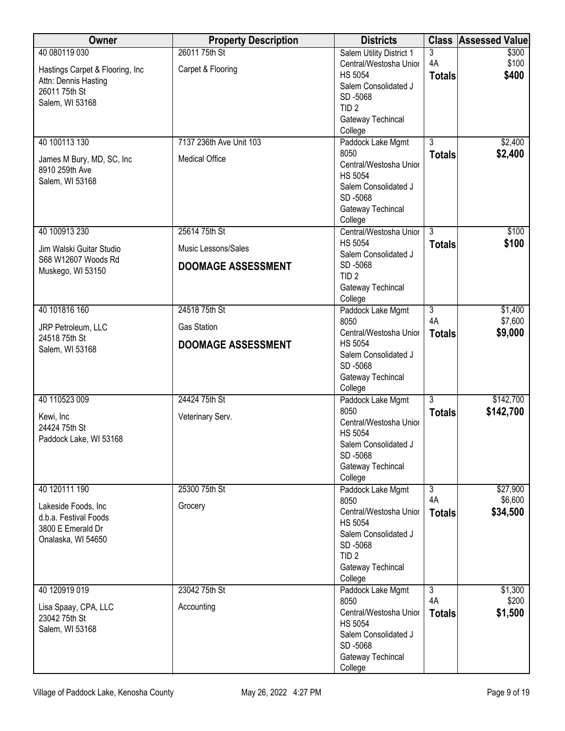| Owner                                           | <b>Property Description</b> | <b>Districts</b>                | <b>Class</b>         | <b>Assessed Value</b>  |
|-------------------------------------------------|-----------------------------|---------------------------------|----------------------|------------------------|
| 40 080119 030                                   | 26011 75th St               | Salem Utility District 1        | 3                    | \$300                  |
| Hastings Carpet & Flooring, Inc                 | Carpet & Flooring           | Central/Westosha Unior          | 4A                   | \$100                  |
| Attn: Dennis Hasting                            |                             | <b>HS 5054</b>                  | <b>Totals</b>        | \$400                  |
| 26011 75th St                                   |                             | Salem Consolidated J<br>SD-5068 |                      |                        |
| Salem, WI 53168                                 |                             | TID <sub>2</sub>                |                      |                        |
|                                                 |                             | Gateway Techincal               |                      |                        |
|                                                 |                             | College                         |                      |                        |
| 40 100113 130                                   | 7137 236th Ave Unit 103     | Paddock Lake Mgmt               | $\overline{3}$       | \$2,400                |
| James M Bury, MD, SC, Inc.                      | <b>Medical Office</b>       | 8050                            | <b>Totals</b>        | \$2,400                |
| 8910 259th Ave                                  |                             | Central/Westosha Unior          |                      |                        |
| Salem, WI 53168                                 |                             | <b>HS 5054</b>                  |                      |                        |
|                                                 |                             | Salem Consolidated J            |                      |                        |
|                                                 |                             | SD-5068<br>Gateway Techincal    |                      |                        |
|                                                 |                             | College                         |                      |                        |
| 40 100913 230                                   | 25614 75th St               | Central/Westosha Unior          | $\overline{3}$       | \$100                  |
|                                                 |                             | <b>HS 5054</b>                  | <b>Totals</b>        | \$100                  |
| Jim Walski Guitar Studio<br>S68 W12607 Woods Rd | Music Lessons/Sales         | Salem Consolidated J            |                      |                        |
| Muskego, WI 53150                               | <b>DOOMAGE ASSESSMENT</b>   | SD-5068                         |                      |                        |
|                                                 |                             | TID <sub>2</sub>                |                      |                        |
|                                                 |                             | Gateway Techincal               |                      |                        |
| 40 101816 160                                   | 24518 75th St               | College                         | $\overline{3}$       | \$1,400                |
|                                                 |                             | Paddock Lake Mgmt<br>8050       | 4A                   | \$7,600                |
| JRP Petroleum, LLC                              | <b>Gas Station</b>          | Central/Westosha Unior          | <b>Totals</b>        | \$9,000                |
| 24518 75th St                                   | <b>DOOMAGE ASSESSMENT</b>   | <b>HS 5054</b>                  |                      |                        |
| Salem, WI 53168                                 |                             | Salem Consolidated J            |                      |                        |
|                                                 |                             | SD-5068                         |                      |                        |
|                                                 |                             | Gateway Techincal               |                      |                        |
|                                                 |                             | College                         |                      |                        |
| 40 110523 009                                   | 24424 75th St               | Paddock Lake Mgmt<br>8050       | $\overline{3}$       | \$142,700<br>\$142,700 |
| Kewi, Inc                                       | Veterinary Serv.            | Central/Westosha Unior          | <b>Totals</b>        |                        |
| 24424 75th St                                   |                             | <b>HS 5054</b>                  |                      |                        |
| Paddock Lake, WI 53168                          |                             | Salem Consolidated J            |                      |                        |
|                                                 |                             | SD-5068                         |                      |                        |
|                                                 |                             | Gateway Techincal               |                      |                        |
|                                                 |                             | College                         |                      |                        |
| 40 120111 190                                   | 25300 75th St               | Paddock Lake Mgmt<br>8050       | $\overline{3}$<br>4A | \$27,900<br>\$6,600    |
| Lakeside Foods, Inc                             | Grocery                     | Central/Westosha Unior          | <b>Totals</b>        | \$34,500               |
| d.b.a. Festival Foods                           |                             | <b>HS 5054</b>                  |                      |                        |
| 3800 E Emerald Dr                               |                             | Salem Consolidated J            |                      |                        |
| Onalaska, WI 54650                              |                             | SD-5068                         |                      |                        |
|                                                 |                             | TID <sub>2</sub>                |                      |                        |
|                                                 |                             | Gateway Techincal               |                      |                        |
|                                                 |                             | College                         |                      |                        |
| 40 120919 019                                   | 23042 75th St               | Paddock Lake Mgmt<br>8050       | $\overline{3}$<br>4A | \$1,300<br>\$200       |
| Lisa Spaay, CPA, LLC                            | Accounting                  | Central/Westosha Unior          | <b>Totals</b>        | \$1,500                |
| 23042 75th St                                   |                             | <b>HS 5054</b>                  |                      |                        |
| Salem, WI 53168                                 |                             | Salem Consolidated J            |                      |                        |
|                                                 |                             | SD-5068                         |                      |                        |
|                                                 |                             | Gateway Techincal               |                      |                        |
|                                                 |                             | College                         |                      |                        |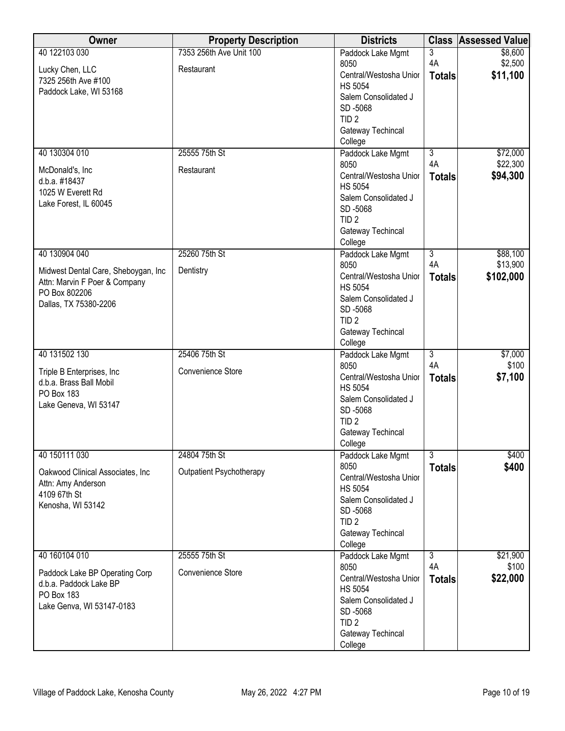| Owner                                                                | <b>Property Description</b> | <b>Districts</b>                         | <b>Class</b>   | <b>Assessed Value</b> |
|----------------------------------------------------------------------|-----------------------------|------------------------------------------|----------------|-----------------------|
| 40 122103 030                                                        | 7353 256th Ave Unit 100     | Paddock Lake Mgmt                        | $\overline{3}$ | \$8,600               |
| Lucky Chen, LLC                                                      | Restaurant                  | 8050                                     | 4A             | \$2,500               |
| 7325 256th Ave #100                                                  |                             | Central/Westosha Unior<br><b>HS 5054</b> | <b>Totals</b>  | \$11,100              |
| Paddock Lake, WI 53168                                               |                             | Salem Consolidated J                     |                |                       |
|                                                                      |                             | SD-5068                                  |                |                       |
|                                                                      |                             | TID <sub>2</sub>                         |                |                       |
|                                                                      |                             | Gateway Techincal                        |                |                       |
|                                                                      |                             | College                                  |                |                       |
| 40 130304 010                                                        | 25555 75th St               | Paddock Lake Mgmt                        | $\overline{3}$ | \$72,000              |
| McDonald's, Inc                                                      | Restaurant                  | 8050                                     | 4A             | \$22,300              |
| d.b.a. #18437                                                        |                             | Central/Westosha Unior                   | <b>Totals</b>  | \$94,300              |
| 1025 W Everett Rd                                                    |                             | <b>HS 5054</b>                           |                |                       |
| Lake Forest, IL 60045                                                |                             | Salem Consolidated J<br>SD-5068          |                |                       |
|                                                                      |                             | TID <sub>2</sub>                         |                |                       |
|                                                                      |                             | Gateway Techincal                        |                |                       |
|                                                                      |                             | College                                  |                |                       |
| 40 130904 040                                                        | 25260 75th St               | Paddock Lake Mgmt                        | $\overline{3}$ | \$88,100              |
|                                                                      | Dentistry                   | 8050                                     | 4A             | \$13,900              |
| Midwest Dental Care, Sheboygan, Inc<br>Attn: Marvin F Poer & Company |                             | Central/Westosha Unior                   | <b>Totals</b>  | \$102,000             |
| PO Box 802206                                                        |                             | <b>HS 5054</b>                           |                |                       |
| Dallas, TX 75380-2206                                                |                             | Salem Consolidated J                     |                |                       |
|                                                                      |                             | SD-5068                                  |                |                       |
|                                                                      |                             | TID <sub>2</sub><br>Gateway Techincal    |                |                       |
|                                                                      |                             | College                                  |                |                       |
| 40 131502 130                                                        | 25406 75th St               | Paddock Lake Mgmt                        | $\overline{3}$ | \$7,000               |
|                                                                      |                             | 8050                                     | 4A             | \$100                 |
| Triple B Enterprises, Inc.<br>d.b.a. Brass Ball Mobil                | <b>Convenience Store</b>    | Central/Westosha Unior                   | <b>Totals</b>  | \$7,100               |
| PO Box 183                                                           |                             | <b>HS 5054</b>                           |                |                       |
| Lake Geneva, WI 53147                                                |                             | Salem Consolidated J                     |                |                       |
|                                                                      |                             | SD-5068                                  |                |                       |
|                                                                      |                             | TID <sub>2</sub><br>Gateway Techincal    |                |                       |
|                                                                      |                             | College                                  |                |                       |
| 40 150111 030                                                        | 24804 75th St               | Paddock Lake Mgmt                        | 3              | \$400                 |
|                                                                      |                             | 8050                                     | <b>Totals</b>  | \$400                 |
| Oakwood Clinical Associates, Inc                                     | Outpatient Psychotherapy    | Central/Westosha Unior                   |                |                       |
| Attn: Amy Anderson<br>4109 67th St                                   |                             | <b>HS 5054</b>                           |                |                       |
| Kenosha, WI 53142                                                    |                             | Salem Consolidated J                     |                |                       |
|                                                                      |                             | SD-5068                                  |                |                       |
|                                                                      |                             | TID <sub>2</sub>                         |                |                       |
|                                                                      |                             | Gateway Techincal<br>College             |                |                       |
| 40 160104 010                                                        | 25555 75th St               | Paddock Lake Mgmt                        | $\overline{3}$ | \$21,900              |
|                                                                      |                             | 8050                                     | 4A             | \$100                 |
| Paddock Lake BP Operating Corp                                       | Convenience Store           | Central/Westosha Unior                   | <b>Totals</b>  | \$22,000              |
| d.b.a. Paddock Lake BP                                               |                             | <b>HS 5054</b>                           |                |                       |
| PO Box 183<br>Lake Genva, WI 53147-0183                              |                             | Salem Consolidated J                     |                |                       |
|                                                                      |                             | SD-5068                                  |                |                       |
|                                                                      |                             | TID <sub>2</sub>                         |                |                       |
|                                                                      |                             | Gateway Techincal                        |                |                       |
|                                                                      |                             | College                                  |                |                       |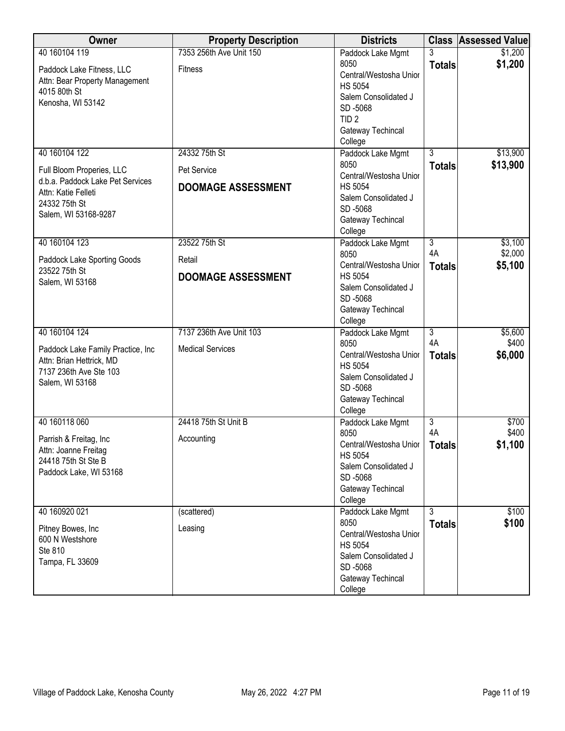| Owner                                                                                                                                          | <b>Property Description</b>                               | <b>Districts</b>                                                                                                                                             |                                       | <b>Class Assessed Value</b>   |
|------------------------------------------------------------------------------------------------------------------------------------------------|-----------------------------------------------------------|--------------------------------------------------------------------------------------------------------------------------------------------------------------|---------------------------------------|-------------------------------|
| 40 160104 119<br>Paddock Lake Fitness, LLC<br>Attn: Bear Property Management<br>4015 80th St<br>Kenosha, WI 53142                              | 7353 256th Ave Unit 150<br><b>Fitness</b>                 | Paddock Lake Mgmt<br>8050<br>Central/Westosha Unior<br><b>HS 5054</b><br>Salem Consolidated J<br>SD-5068<br>TID <sub>2</sub><br>Gateway Techincal<br>College | 3<br><b>Totals</b>                    | \$1,200<br>\$1,200            |
| 40 160104 122<br>Full Bloom Properies, LLC<br>d.b.a. Paddock Lake Pet Services<br>Attn: Katie Felleti<br>24332 75th St<br>Salem, WI 53168-9287 | 24332 75th St<br>Pet Service<br><b>DOOMAGE ASSESSMENT</b> | Paddock Lake Mgmt<br>8050<br>Central/Westosha Unior<br><b>HS 5054</b><br>Salem Consolidated J<br>SD-5068<br>Gateway Techincal<br>College                     | $\overline{3}$<br><b>Totals</b>       | \$13,900<br>\$13,900          |
| 40 160104 123<br>Paddock Lake Sporting Goods<br>23522 75th St<br>Salem, WI 53168                                                               | 23522 75th St<br>Retail<br><b>DOOMAGE ASSESSMENT</b>      | Paddock Lake Mgmt<br>8050<br>Central/Westosha Unior<br><b>HS 5054</b><br>Salem Consolidated J<br>SD-5068<br>Gateway Techincal<br>College                     | $\overline{3}$<br>4A<br><b>Totals</b> | \$3,100<br>\$2,000<br>\$5,100 |
| 40 160104 124<br>Paddock Lake Family Practice, Inc<br>Attn: Brian Hettrick, MD<br>7137 236th Ave Ste 103<br>Salem, WI 53168                    | 7137 236th Ave Unit 103<br><b>Medical Services</b>        | Paddock Lake Mgmt<br>8050<br>Central/Westosha Unior<br><b>HS 5054</b><br>Salem Consolidated J<br>SD-5068<br>Gateway Techincal<br>College                     | $\overline{3}$<br>4A<br><b>Totals</b> | \$5,600<br>\$400<br>\$6,000   |
| 40 160118 060<br>Parrish & Freitag, Inc.<br>Attn: Joanne Freitag<br>24418 75th St Ste B<br>Paddock Lake, WI 53168                              | 24418 75th St Unit B<br>Accounting                        | Paddock Lake Mgmt<br>8050<br>Central/Westosha Unior  <br><b>HS 5054</b><br>Salem Consolidated J<br>SD-5068<br>Gateway Techincal<br>College                   | $\overline{3}$<br>4A<br><b>Totals</b> | \$700<br>\$400<br>\$1,100     |
| 40 160920 021<br>Pitney Bowes, Inc.<br>600 N Westshore<br>Ste 810<br>Tampa, FL 33609                                                           | (scattered)<br>Leasing                                    | Paddock Lake Mgmt<br>8050<br>Central/Westosha Unior<br><b>HS 5054</b><br>Salem Consolidated J<br>SD-5068<br>Gateway Techincal<br>College                     | $\overline{3}$<br><b>Totals</b>       | \$100<br>\$100                |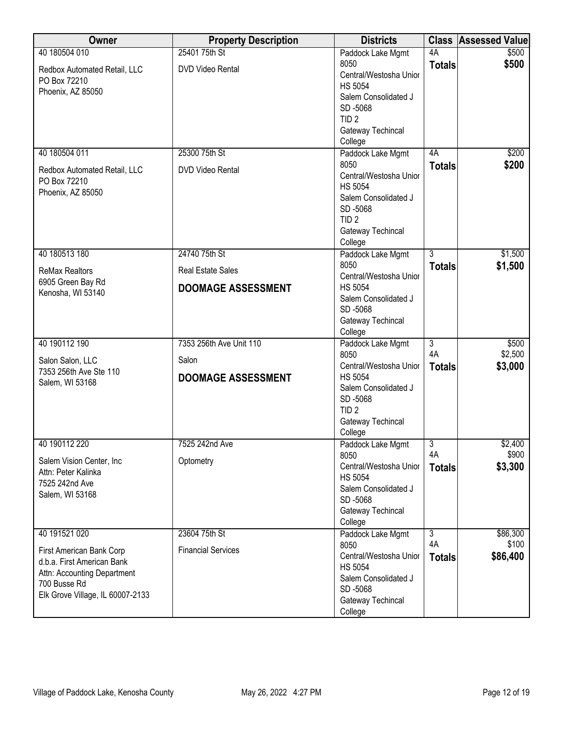| Owner                                        | <b>Property Description</b> | <b>Districts</b>                         |                | <b>Class Assessed Value</b> |
|----------------------------------------------|-----------------------------|------------------------------------------|----------------|-----------------------------|
| 40 180504 010                                | 25401 75th St               | Paddock Lake Mgmt                        | 4A             | \$500                       |
| Redbox Automated Retail, LLC                 | <b>DVD Video Rental</b>     | 8050                                     | <b>Totals</b>  | \$500                       |
| PO Box 72210                                 |                             | Central/Westosha Unior                   |                |                             |
| Phoenix, AZ 85050                            |                             | <b>HS 5054</b>                           |                |                             |
|                                              |                             | Salem Consolidated J<br>SD-5068          |                |                             |
|                                              |                             | TID <sub>2</sub>                         |                |                             |
|                                              |                             | Gateway Techincal                        |                |                             |
|                                              |                             | College                                  |                |                             |
| 40 180504 011                                | 25300 75th St               | Paddock Lake Mgmt                        | 4A             | \$200                       |
|                                              |                             | 8050                                     | <b>Totals</b>  | \$200                       |
| Redbox Automated Retail, LLC<br>PO Box 72210 | <b>DVD Video Rental</b>     | Central/Westosha Unior                   |                |                             |
| Phoenix, AZ 85050                            |                             | <b>HS 5054</b>                           |                |                             |
|                                              |                             | Salem Consolidated J                     |                |                             |
|                                              |                             | SD-5068                                  |                |                             |
|                                              |                             | TID <sub>2</sub>                         |                |                             |
|                                              |                             | Gateway Techincal                        |                |                             |
| 40 180513 180                                | 24740 75th St               | College<br>Paddock Lake Mgmt             | $\overline{3}$ | \$1,500                     |
|                                              |                             | 8050                                     | <b>Totals</b>  | \$1,500                     |
| <b>ReMax Realtors</b>                        | <b>Real Estate Sales</b>    | Central/Westosha Unior                   |                |                             |
| 6905 Green Bay Rd                            | <b>DOOMAGE ASSESSMENT</b>   | <b>HS 5054</b>                           |                |                             |
| Kenosha, WI 53140                            |                             | Salem Consolidated J                     |                |                             |
|                                              |                             | SD-5068                                  |                |                             |
|                                              |                             | Gateway Techincal                        |                |                             |
|                                              |                             | College                                  |                |                             |
| 40 190112 190                                | 7353 256th Ave Unit 110     | Paddock Lake Mgmt                        | $\overline{3}$ | \$500                       |
| Salon Salon, LLC                             | Salon                       | 8050                                     | 4A             | \$2,500                     |
| 7353 256th Ave Ste 110                       |                             | Central/Westosha Unior<br><b>HS 5054</b> | <b>Totals</b>  | \$3,000                     |
| Salem, WI 53168                              | <b>DOOMAGE ASSESSMENT</b>   | Salem Consolidated J                     |                |                             |
|                                              |                             | SD-5068                                  |                |                             |
|                                              |                             | TID <sub>2</sub>                         |                |                             |
|                                              |                             | Gateway Techincal                        |                |                             |
|                                              |                             | College                                  |                |                             |
| 40 190112 220                                | 7525 242nd Ave              | Paddock Lake Mgmt                        | 3              | \$2,400                     |
| Salem Vision Center, Inc                     | Optometry                   | 8050                                     | 4A             | \$900                       |
| Attn: Peter Kalinka                          |                             | Central/Westosha Unior                   | <b>Totals</b>  | \$3,300                     |
| 7525 242nd Ave                               |                             | <b>HS 5054</b><br>Salem Consolidated J   |                |                             |
| Salem, WI 53168                              |                             | SD-5068                                  |                |                             |
|                                              |                             | Gateway Techincal                        |                |                             |
|                                              |                             | College                                  |                |                             |
| 40 191521 020                                | 23604 75th St               | Paddock Lake Mgmt                        | $\overline{3}$ | \$86,300                    |
| First American Bank Corp                     | <b>Financial Services</b>   | 8050                                     | 4A             | \$100                       |
| d.b.a. First American Bank                   |                             | Central/Westosha Unior                   | <b>Totals</b>  | \$86,400                    |
| Attn: Accounting Department                  |                             | <b>HS 5054</b>                           |                |                             |
| 700 Busse Rd                                 |                             | Salem Consolidated J                     |                |                             |
| Elk Grove Village, IL 60007-2133             |                             | SD-5068                                  |                |                             |
|                                              |                             | Gateway Techincal<br>College             |                |                             |
|                                              |                             |                                          |                |                             |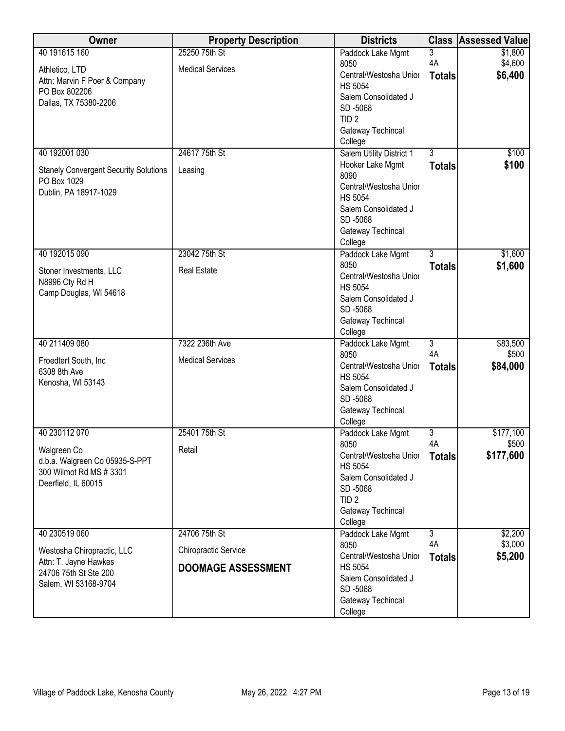| 40 191615 160<br>25250 75th St<br>3<br>\$1,800<br>Paddock Lake Mgmt<br>4A<br>\$4,600<br>8050<br><b>Medical Services</b><br>Athletico, LTD<br>\$6,400<br>Central/Westosha Unior<br><b>Totals</b><br>Attn: Marvin F Poer & Company<br><b>HS 5054</b><br>PO Box 802206<br>Salem Consolidated J<br>Dallas, TX 75380-2206<br>SD-5068<br>TID <sub>2</sub><br>Gateway Techincal<br>College<br>40 192001 030<br>$\overline{3}$<br>\$100<br>24617 75th St<br>Salem Utility District 1<br>\$100<br>Hooker Lake Mgmt<br><b>Totals</b><br><b>Stanely Convergent Security Solutions</b><br>Leasing<br>8090<br>PO Box 1029<br>Central/Westosha Unior<br>Dublin, PA 18917-1029<br><b>HS 5054</b><br>Salem Consolidated J<br>SD-5068<br>Gateway Techincal<br>College<br>$\overline{3}$<br>40 192015 090<br>23042 75th St<br>\$1,600<br>Paddock Lake Mgmt<br>8050<br>\$1,600<br><b>Totals</b><br><b>Real Estate</b><br>Stoner Investments, LLC<br>Central/Westosha Unior<br>N8996 Cty Rd H<br><b>HS 5054</b><br>Camp Douglas, WI 54618<br>Salem Consolidated J<br>SD-5068<br>Gateway Techincal<br>College<br>40 211409 080<br>7322 236th Ave<br>$\overline{3}$<br>\$83,500<br>Paddock Lake Mgmt<br>4A<br>8050<br>\$500<br><b>Medical Services</b><br>Froedtert South, Inc<br>Central/Westosha Unior<br>\$84,000<br><b>Totals</b><br>6308 8th Ave<br><b>HS 5054</b><br>Kenosha, WI 53143<br>Salem Consolidated J<br>SD-5068<br>Gateway Techincal<br>College<br>40 230112 070<br>25401 75th St<br>\$177,100<br>Paddock Lake Mgmt<br>3<br>4A<br>\$500<br>8050<br>Walgreen Co<br>Retail<br>\$177,600<br>Central/Westosha Unior<br><b>Totals</b><br>d.b.a. Walgreen Co 05935-S-PPT | Owner | <b>Property Description</b> | <b>Districts</b> | <b>Class</b> | <b>Assessed Value</b> |
|--------------------------------------------------------------------------------------------------------------------------------------------------------------------------------------------------------------------------------------------------------------------------------------------------------------------------------------------------------------------------------------------------------------------------------------------------------------------------------------------------------------------------------------------------------------------------------------------------------------------------------------------------------------------------------------------------------------------------------------------------------------------------------------------------------------------------------------------------------------------------------------------------------------------------------------------------------------------------------------------------------------------------------------------------------------------------------------------------------------------------------------------------------------------------------------------------------------------------------------------------------------------------------------------------------------------------------------------------------------------------------------------------------------------------------------------------------------------------------------------------------------------------------------------------------------------------------------------------------------------------------------------------------------|-------|-----------------------------|------------------|--------------|-----------------------|
|                                                                                                                                                                                                                                                                                                                                                                                                                                                                                                                                                                                                                                                                                                                                                                                                                                                                                                                                                                                                                                                                                                                                                                                                                                                                                                                                                                                                                                                                                                                                                                                                                                                              |       |                             |                  |              |                       |
|                                                                                                                                                                                                                                                                                                                                                                                                                                                                                                                                                                                                                                                                                                                                                                                                                                                                                                                                                                                                                                                                                                                                                                                                                                                                                                                                                                                                                                                                                                                                                                                                                                                              |       |                             |                  |              |                       |
|                                                                                                                                                                                                                                                                                                                                                                                                                                                                                                                                                                                                                                                                                                                                                                                                                                                                                                                                                                                                                                                                                                                                                                                                                                                                                                                                                                                                                                                                                                                                                                                                                                                              |       |                             |                  |              |                       |
|                                                                                                                                                                                                                                                                                                                                                                                                                                                                                                                                                                                                                                                                                                                                                                                                                                                                                                                                                                                                                                                                                                                                                                                                                                                                                                                                                                                                                                                                                                                                                                                                                                                              |       |                             |                  |              |                       |
|                                                                                                                                                                                                                                                                                                                                                                                                                                                                                                                                                                                                                                                                                                                                                                                                                                                                                                                                                                                                                                                                                                                                                                                                                                                                                                                                                                                                                                                                                                                                                                                                                                                              |       |                             |                  |              |                       |
|                                                                                                                                                                                                                                                                                                                                                                                                                                                                                                                                                                                                                                                                                                                                                                                                                                                                                                                                                                                                                                                                                                                                                                                                                                                                                                                                                                                                                                                                                                                                                                                                                                                              |       |                             |                  |              |                       |
|                                                                                                                                                                                                                                                                                                                                                                                                                                                                                                                                                                                                                                                                                                                                                                                                                                                                                                                                                                                                                                                                                                                                                                                                                                                                                                                                                                                                                                                                                                                                                                                                                                                              |       |                             |                  |              |                       |
|                                                                                                                                                                                                                                                                                                                                                                                                                                                                                                                                                                                                                                                                                                                                                                                                                                                                                                                                                                                                                                                                                                                                                                                                                                                                                                                                                                                                                                                                                                                                                                                                                                                              |       |                             |                  |              |                       |
|                                                                                                                                                                                                                                                                                                                                                                                                                                                                                                                                                                                                                                                                                                                                                                                                                                                                                                                                                                                                                                                                                                                                                                                                                                                                                                                                                                                                                                                                                                                                                                                                                                                              |       |                             |                  |              |                       |
|                                                                                                                                                                                                                                                                                                                                                                                                                                                                                                                                                                                                                                                                                                                                                                                                                                                                                                                                                                                                                                                                                                                                                                                                                                                                                                                                                                                                                                                                                                                                                                                                                                                              |       |                             |                  |              |                       |
|                                                                                                                                                                                                                                                                                                                                                                                                                                                                                                                                                                                                                                                                                                                                                                                                                                                                                                                                                                                                                                                                                                                                                                                                                                                                                                                                                                                                                                                                                                                                                                                                                                                              |       |                             |                  |              |                       |
|                                                                                                                                                                                                                                                                                                                                                                                                                                                                                                                                                                                                                                                                                                                                                                                                                                                                                                                                                                                                                                                                                                                                                                                                                                                                                                                                                                                                                                                                                                                                                                                                                                                              |       |                             |                  |              |                       |
|                                                                                                                                                                                                                                                                                                                                                                                                                                                                                                                                                                                                                                                                                                                                                                                                                                                                                                                                                                                                                                                                                                                                                                                                                                                                                                                                                                                                                                                                                                                                                                                                                                                              |       |                             |                  |              |                       |
|                                                                                                                                                                                                                                                                                                                                                                                                                                                                                                                                                                                                                                                                                                                                                                                                                                                                                                                                                                                                                                                                                                                                                                                                                                                                                                                                                                                                                                                                                                                                                                                                                                                              |       |                             |                  |              |                       |
|                                                                                                                                                                                                                                                                                                                                                                                                                                                                                                                                                                                                                                                                                                                                                                                                                                                                                                                                                                                                                                                                                                                                                                                                                                                                                                                                                                                                                                                                                                                                                                                                                                                              |       |                             |                  |              |                       |
|                                                                                                                                                                                                                                                                                                                                                                                                                                                                                                                                                                                                                                                                                                                                                                                                                                                                                                                                                                                                                                                                                                                                                                                                                                                                                                                                                                                                                                                                                                                                                                                                                                                              |       |                             |                  |              |                       |
|                                                                                                                                                                                                                                                                                                                                                                                                                                                                                                                                                                                                                                                                                                                                                                                                                                                                                                                                                                                                                                                                                                                                                                                                                                                                                                                                                                                                                                                                                                                                                                                                                                                              |       |                             |                  |              |                       |
|                                                                                                                                                                                                                                                                                                                                                                                                                                                                                                                                                                                                                                                                                                                                                                                                                                                                                                                                                                                                                                                                                                                                                                                                                                                                                                                                                                                                                                                                                                                                                                                                                                                              |       |                             |                  |              |                       |
|                                                                                                                                                                                                                                                                                                                                                                                                                                                                                                                                                                                                                                                                                                                                                                                                                                                                                                                                                                                                                                                                                                                                                                                                                                                                                                                                                                                                                                                                                                                                                                                                                                                              |       |                             |                  |              |                       |
|                                                                                                                                                                                                                                                                                                                                                                                                                                                                                                                                                                                                                                                                                                                                                                                                                                                                                                                                                                                                                                                                                                                                                                                                                                                                                                                                                                                                                                                                                                                                                                                                                                                              |       |                             |                  |              |                       |
|                                                                                                                                                                                                                                                                                                                                                                                                                                                                                                                                                                                                                                                                                                                                                                                                                                                                                                                                                                                                                                                                                                                                                                                                                                                                                                                                                                                                                                                                                                                                                                                                                                                              |       |                             |                  |              |                       |
|                                                                                                                                                                                                                                                                                                                                                                                                                                                                                                                                                                                                                                                                                                                                                                                                                                                                                                                                                                                                                                                                                                                                                                                                                                                                                                                                                                                                                                                                                                                                                                                                                                                              |       |                             |                  |              |                       |
|                                                                                                                                                                                                                                                                                                                                                                                                                                                                                                                                                                                                                                                                                                                                                                                                                                                                                                                                                                                                                                                                                                                                                                                                                                                                                                                                                                                                                                                                                                                                                                                                                                                              |       |                             |                  |              |                       |
|                                                                                                                                                                                                                                                                                                                                                                                                                                                                                                                                                                                                                                                                                                                                                                                                                                                                                                                                                                                                                                                                                                                                                                                                                                                                                                                                                                                                                                                                                                                                                                                                                                                              |       |                             |                  |              |                       |
|                                                                                                                                                                                                                                                                                                                                                                                                                                                                                                                                                                                                                                                                                                                                                                                                                                                                                                                                                                                                                                                                                                                                                                                                                                                                                                                                                                                                                                                                                                                                                                                                                                                              |       |                             |                  |              |                       |
|                                                                                                                                                                                                                                                                                                                                                                                                                                                                                                                                                                                                                                                                                                                                                                                                                                                                                                                                                                                                                                                                                                                                                                                                                                                                                                                                                                                                                                                                                                                                                                                                                                                              |       |                             |                  |              |                       |
|                                                                                                                                                                                                                                                                                                                                                                                                                                                                                                                                                                                                                                                                                                                                                                                                                                                                                                                                                                                                                                                                                                                                                                                                                                                                                                                                                                                                                                                                                                                                                                                                                                                              |       |                             |                  |              |                       |
|                                                                                                                                                                                                                                                                                                                                                                                                                                                                                                                                                                                                                                                                                                                                                                                                                                                                                                                                                                                                                                                                                                                                                                                                                                                                                                                                                                                                                                                                                                                                                                                                                                                              |       |                             |                  |              |                       |
|                                                                                                                                                                                                                                                                                                                                                                                                                                                                                                                                                                                                                                                                                                                                                                                                                                                                                                                                                                                                                                                                                                                                                                                                                                                                                                                                                                                                                                                                                                                                                                                                                                                              |       |                             |                  |              |                       |
|                                                                                                                                                                                                                                                                                                                                                                                                                                                                                                                                                                                                                                                                                                                                                                                                                                                                                                                                                                                                                                                                                                                                                                                                                                                                                                                                                                                                                                                                                                                                                                                                                                                              |       |                             |                  |              |                       |
|                                                                                                                                                                                                                                                                                                                                                                                                                                                                                                                                                                                                                                                                                                                                                                                                                                                                                                                                                                                                                                                                                                                                                                                                                                                                                                                                                                                                                                                                                                                                                                                                                                                              |       |                             |                  |              |                       |
|                                                                                                                                                                                                                                                                                                                                                                                                                                                                                                                                                                                                                                                                                                                                                                                                                                                                                                                                                                                                                                                                                                                                                                                                                                                                                                                                                                                                                                                                                                                                                                                                                                                              |       |                             |                  |              |                       |
|                                                                                                                                                                                                                                                                                                                                                                                                                                                                                                                                                                                                                                                                                                                                                                                                                                                                                                                                                                                                                                                                                                                                                                                                                                                                                                                                                                                                                                                                                                                                                                                                                                                              |       |                             |                  |              |                       |
|                                                                                                                                                                                                                                                                                                                                                                                                                                                                                                                                                                                                                                                                                                                                                                                                                                                                                                                                                                                                                                                                                                                                                                                                                                                                                                                                                                                                                                                                                                                                                                                                                                                              |       |                             |                  |              |                       |
| 300 Wilmot Rd MS # 3301                                                                                                                                                                                                                                                                                                                                                                                                                                                                                                                                                                                                                                                                                                                                                                                                                                                                                                                                                                                                                                                                                                                                                                                                                                                                                                                                                                                                                                                                                                                                                                                                                                      |       |                             | <b>HS 5054</b>   |              |                       |
| Salem Consolidated J<br>Deerfield, IL 60015<br>SD-5068                                                                                                                                                                                                                                                                                                                                                                                                                                                                                                                                                                                                                                                                                                                                                                                                                                                                                                                                                                                                                                                                                                                                                                                                                                                                                                                                                                                                                                                                                                                                                                                                       |       |                             |                  |              |                       |
| TID <sub>2</sub>                                                                                                                                                                                                                                                                                                                                                                                                                                                                                                                                                                                                                                                                                                                                                                                                                                                                                                                                                                                                                                                                                                                                                                                                                                                                                                                                                                                                                                                                                                                                                                                                                                             |       |                             |                  |              |                       |
| Gateway Techincal                                                                                                                                                                                                                                                                                                                                                                                                                                                                                                                                                                                                                                                                                                                                                                                                                                                                                                                                                                                                                                                                                                                                                                                                                                                                                                                                                                                                                                                                                                                                                                                                                                            |       |                             |                  |              |                       |
| College                                                                                                                                                                                                                                                                                                                                                                                                                                                                                                                                                                                                                                                                                                                                                                                                                                                                                                                                                                                                                                                                                                                                                                                                                                                                                                                                                                                                                                                                                                                                                                                                                                                      |       |                             |                  |              |                       |
| 40 230519 060<br>24706 75th St<br>$\overline{3}$<br>\$2,200<br>Paddock Lake Mgmt                                                                                                                                                                                                                                                                                                                                                                                                                                                                                                                                                                                                                                                                                                                                                                                                                                                                                                                                                                                                                                                                                                                                                                                                                                                                                                                                                                                                                                                                                                                                                                             |       |                             |                  |              |                       |
| 4A<br>\$3,000<br>8050<br><b>Chiropractic Service</b><br>Westosha Chiropractic, LLC                                                                                                                                                                                                                                                                                                                                                                                                                                                                                                                                                                                                                                                                                                                                                                                                                                                                                                                                                                                                                                                                                                                                                                                                                                                                                                                                                                                                                                                                                                                                                                           |       |                             |                  |              |                       |
| \$5,200<br>Central/Westosha Unior<br><b>Totals</b><br>Attn: T. Jayne Hawkes                                                                                                                                                                                                                                                                                                                                                                                                                                                                                                                                                                                                                                                                                                                                                                                                                                                                                                                                                                                                                                                                                                                                                                                                                                                                                                                                                                                                                                                                                                                                                                                  |       |                             |                  |              |                       |
| <b>HS 5054</b><br><b>DOOMAGE ASSESSMENT</b><br>24706 75th St Ste 200                                                                                                                                                                                                                                                                                                                                                                                                                                                                                                                                                                                                                                                                                                                                                                                                                                                                                                                                                                                                                                                                                                                                                                                                                                                                                                                                                                                                                                                                                                                                                                                         |       |                             |                  |              |                       |
| Salem Consolidated J<br>Salem, WI 53168-9704                                                                                                                                                                                                                                                                                                                                                                                                                                                                                                                                                                                                                                                                                                                                                                                                                                                                                                                                                                                                                                                                                                                                                                                                                                                                                                                                                                                                                                                                                                                                                                                                                 |       |                             |                  |              |                       |
| SD-5068                                                                                                                                                                                                                                                                                                                                                                                                                                                                                                                                                                                                                                                                                                                                                                                                                                                                                                                                                                                                                                                                                                                                                                                                                                                                                                                                                                                                                                                                                                                                                                                                                                                      |       |                             |                  |              |                       |
| Gateway Techincal<br>College                                                                                                                                                                                                                                                                                                                                                                                                                                                                                                                                                                                                                                                                                                                                                                                                                                                                                                                                                                                                                                                                                                                                                                                                                                                                                                                                                                                                                                                                                                                                                                                                                                 |       |                             |                  |              |                       |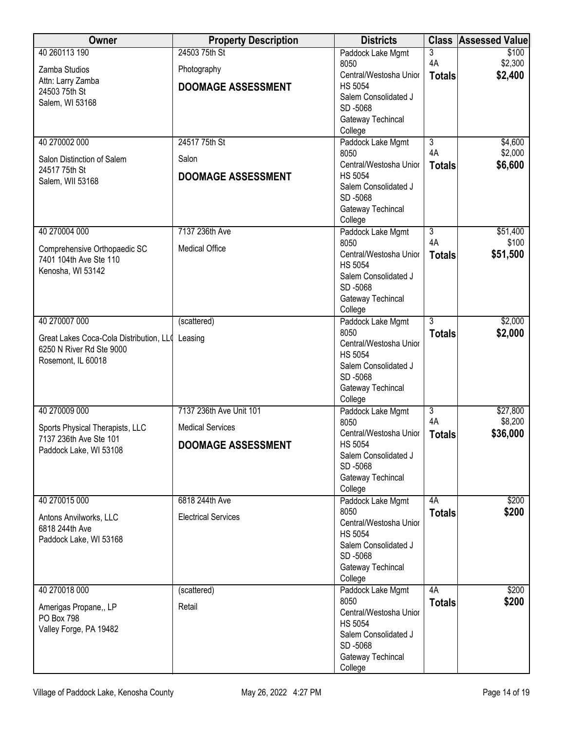| Owner                                           | <b>Property Description</b> | <b>Districts</b>                         | <b>Class</b>         | <b>Assessed Value</b> |
|-------------------------------------------------|-----------------------------|------------------------------------------|----------------------|-----------------------|
| 40 260113 190                                   | 24503 75th St               | Paddock Lake Mgmt                        | 3                    | \$100                 |
| Zamba Studios                                   | Photography                 | 8050                                     | 4A                   | \$2,300               |
| Attn: Larry Zamba                               | <b>DOOMAGE ASSESSMENT</b>   | Central/Westosha Unior<br><b>HS 5054</b> | <b>Totals</b>        | \$2,400               |
| 24503 75th St                                   |                             | Salem Consolidated J                     |                      |                       |
| Salem, WI 53168                                 |                             | SD-5068                                  |                      |                       |
|                                                 |                             | Gateway Techincal                        |                      |                       |
|                                                 |                             | College                                  |                      |                       |
| 40 270002 000                                   | 24517 75th St               | Paddock Lake Mgmt                        | $\overline{3}$       | \$4,600               |
| Salon Distinction of Salem                      | Salon                       | 8050<br>Central/Westosha Unior           | 4A                   | \$2,000<br>\$6,600    |
| 24517 75th St                                   | <b>DOOMAGE ASSESSMENT</b>   | <b>HS 5054</b>                           | <b>Totals</b>        |                       |
| Salem, WII 53168                                |                             | Salem Consolidated J                     |                      |                       |
|                                                 |                             | SD-5068                                  |                      |                       |
|                                                 |                             | Gateway Techincal                        |                      |                       |
|                                                 |                             | College                                  |                      |                       |
| 40 270004 000                                   | 7137 236th Ave              | Paddock Lake Mgmt<br>8050                | $\overline{3}$<br>4A | \$51,400<br>\$100     |
| Comprehensive Orthopaedic SC                    | <b>Medical Office</b>       | Central/Westosha Unior                   | <b>Totals</b>        | \$51,500              |
| 7401 104th Ave Ste 110                          |                             | <b>HS 5054</b>                           |                      |                       |
| Kenosha, WI 53142                               |                             | Salem Consolidated J                     |                      |                       |
|                                                 |                             | SD-5068                                  |                      |                       |
|                                                 |                             | Gateway Techincal                        |                      |                       |
| 40 270007 000                                   | (scattered)                 | College<br>Paddock Lake Mgmt             | 3                    | \$2,000               |
|                                                 |                             | 8050                                     | <b>Totals</b>        | \$2,000               |
| Great Lakes Coca-Cola Distribution, LL( Leasing |                             | Central/Westosha Unior                   |                      |                       |
| 6250 N River Rd Ste 9000<br>Rosemont, IL 60018  |                             | <b>HS 5054</b>                           |                      |                       |
|                                                 |                             | Salem Consolidated J                     |                      |                       |
|                                                 |                             | SD-5068                                  |                      |                       |
|                                                 |                             | Gateway Techincal<br>College             |                      |                       |
| 40 270009 000                                   | 7137 236th Ave Unit 101     | Paddock Lake Mgmt                        | $\overline{3}$       | \$27,800              |
| Sports Physical Therapists, LLC                 | <b>Medical Services</b>     | 8050                                     | 4A                   | \$8,200               |
| 7137 236th Ave Ste 101                          |                             | Central/Westosha Unior                   | <b>Totals</b>        | \$36,000              |
| Paddock Lake, WI 53108                          | <b>DOOMAGE ASSESSMENT</b>   | <b>HS 5054</b>                           |                      |                       |
|                                                 |                             | Salem Consolidated J<br>SD-5068          |                      |                       |
|                                                 |                             | Gateway Techincal                        |                      |                       |
|                                                 |                             | College                                  |                      |                       |
| 40 270015 000                                   | 6818 244th Ave              | Paddock Lake Mgmt                        | 4A                   | \$200                 |
| Antons Anvilworks, LLC                          | <b>Electrical Services</b>  | 8050                                     | <b>Totals</b>        | \$200                 |
| 6818 244th Ave                                  |                             | Central/Westosha Unior<br><b>HS 5054</b> |                      |                       |
| Paddock Lake, WI 53168                          |                             | Salem Consolidated J                     |                      |                       |
|                                                 |                             | SD-5068                                  |                      |                       |
|                                                 |                             | Gateway Techincal                        |                      |                       |
|                                                 |                             | College                                  |                      |                       |
| 40 270018 000                                   | (scattered)                 | Paddock Lake Mgmt                        | 4A                   | \$200                 |
| Amerigas Propane,, LP                           | Retail                      | 8050<br>Central/Westosha Unior           | <b>Totals</b>        | \$200                 |
| <b>PO Box 798</b>                               |                             | <b>HS 5054</b>                           |                      |                       |
| Valley Forge, PA 19482                          |                             | Salem Consolidated J                     |                      |                       |
|                                                 |                             | SD-5068                                  |                      |                       |
|                                                 |                             | Gateway Techincal                        |                      |                       |
|                                                 |                             | College                                  |                      |                       |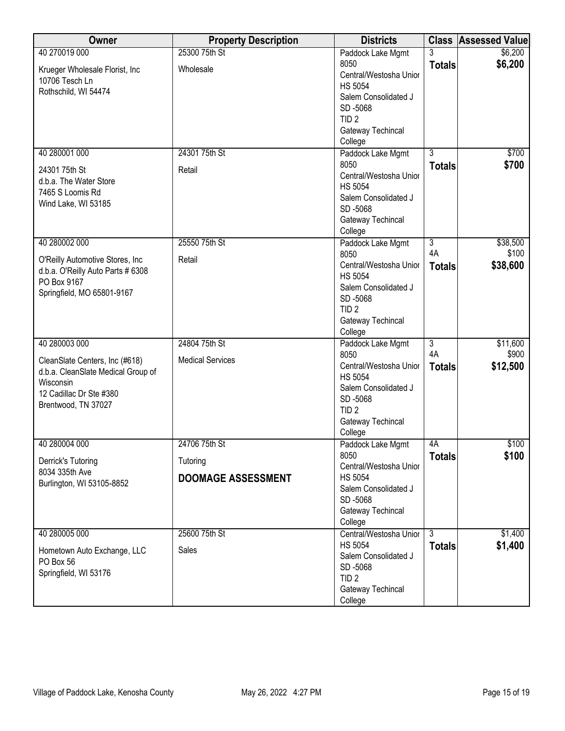| Owner                                   | <b>Property Description</b> | <b>Districts</b>                         |                      | <b>Class Assessed Value</b> |
|-----------------------------------------|-----------------------------|------------------------------------------|----------------------|-----------------------------|
| 40 270019 000                           | 25300 75th St               | Paddock Lake Mgmt                        | 3                    | \$6,200                     |
| Krueger Wholesale Florist, Inc          | Wholesale                   | 8050                                     | <b>Totals</b>        | \$6,200                     |
| 10706 Tesch Ln                          |                             | Central/Westosha Unior                   |                      |                             |
| Rothschild, WI 54474                    |                             | <b>HS 5054</b>                           |                      |                             |
|                                         |                             | Salem Consolidated J<br>SD-5068          |                      |                             |
|                                         |                             | TID <sub>2</sub>                         |                      |                             |
|                                         |                             | Gateway Techincal                        |                      |                             |
|                                         |                             | College                                  |                      |                             |
| 40 280001 000                           | 24301 75th St               | Paddock Lake Mgmt                        | $\overline{3}$       | \$700                       |
|                                         | Retail                      | 8050                                     | <b>Totals</b>        | \$700                       |
| 24301 75th St<br>d.b.a. The Water Store |                             | Central/Westosha Unior                   |                      |                             |
| 7465 S Loomis Rd                        |                             | <b>HS 5054</b>                           |                      |                             |
| Wind Lake, WI 53185                     |                             | Salem Consolidated J                     |                      |                             |
|                                         |                             | SD-5068                                  |                      |                             |
|                                         |                             | Gateway Techincal                        |                      |                             |
| 40 280002 000                           | 25550 75th St               | College                                  | $\overline{3}$       | \$38,500                    |
|                                         |                             | Paddock Lake Mgmt<br>8050                | 4A                   | \$100                       |
| O'Reilly Automotive Stores, Inc.        | Retail                      | Central/Westosha Unior                   | <b>Totals</b>        | \$38,600                    |
| d.b.a. O'Reilly Auto Parts # 6308       |                             | <b>HS 5054</b>                           |                      |                             |
| PO Box 9167                             |                             | Salem Consolidated J                     |                      |                             |
| Springfield, MO 65801-9167              |                             | SD-5068                                  |                      |                             |
|                                         |                             | TID <sub>2</sub>                         |                      |                             |
|                                         |                             | Gateway Techincal                        |                      |                             |
|                                         |                             | College                                  |                      |                             |
| 40 280003 000                           | 24804 75th St               | Paddock Lake Mgmt                        | $\overline{3}$<br>4A | \$11,600                    |
| CleanSlate Centers, Inc (#618)          | <b>Medical Services</b>     | 8050<br>Central/Westosha Unior           |                      | \$900                       |
| d.b.a. CleanSlate Medical Group of      |                             | <b>HS 5054</b>                           | <b>Totals</b>        | \$12,500                    |
| Wisconsin                               |                             | Salem Consolidated J                     |                      |                             |
| 12 Cadillac Dr Ste #380                 |                             | SD-5068                                  |                      |                             |
| Brentwood, TN 37027                     |                             | TID <sub>2</sub>                         |                      |                             |
|                                         |                             | Gateway Techincal                        |                      |                             |
|                                         |                             | College                                  |                      |                             |
| 40 280004 000                           | 24706 75th St               | Paddock Lake Mgmt                        | 4A                   | \$100                       |
| Derrick's Tutoring                      | Tutoring                    | 8050                                     | <b>Totals</b>        | \$100                       |
| 8034 335th Ave                          |                             | Central/Westosha Unior<br><b>HS 5054</b> |                      |                             |
| Burlington, WI 53105-8852               | <b>DOOMAGE ASSESSMENT</b>   | Salem Consolidated J                     |                      |                             |
|                                         |                             | SD-5068                                  |                      |                             |
|                                         |                             | Gateway Techincal                        |                      |                             |
|                                         |                             | College                                  |                      |                             |
| 40 280005 000                           | 25600 75th St               | Central/Westosha Unior                   | 3                    | \$1,400                     |
| Hometown Auto Exchange, LLC             | Sales                       | <b>HS 5054</b>                           | <b>Totals</b>        | \$1,400                     |
| PO Box 56                               |                             | Salem Consolidated J                     |                      |                             |
| Springfield, WI 53176                   |                             | SD-5068                                  |                      |                             |
|                                         |                             | TID <sub>2</sub>                         |                      |                             |
|                                         |                             | Gateway Techincal                        |                      |                             |
|                                         |                             | College                                  |                      |                             |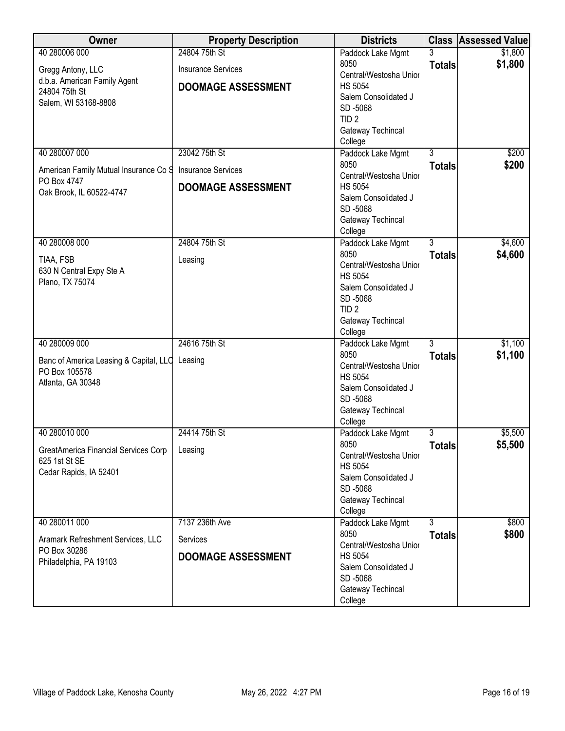| Owner                                                           | <b>Property Description</b> | <b>Districts</b>                         |                | <b>Class Assessed Value</b> |
|-----------------------------------------------------------------|-----------------------------|------------------------------------------|----------------|-----------------------------|
| 40 280006 000                                                   | 24804 75th St               | Paddock Lake Mgmt                        |                | \$1,800                     |
| Gregg Antony, LLC                                               | <b>Insurance Services</b>   | 8050                                     | <b>Totals</b>  | \$1,800                     |
| d.b.a. American Family Agent                                    |                             | Central/Westosha Unior<br><b>HS 5054</b> |                |                             |
| 24804 75th St                                                   | <b>DOOMAGE ASSESSMENT</b>   | Salem Consolidated J                     |                |                             |
| Salem, WI 53168-8808                                            |                             | SD-5068                                  |                |                             |
|                                                                 |                             | TID <sub>2</sub>                         |                |                             |
|                                                                 |                             | Gateway Techincal                        |                |                             |
|                                                                 |                             | College                                  |                |                             |
| 40 280007 000                                                   | 23042 75th St               | Paddock Lake Mgmt                        | $\overline{3}$ | \$200                       |
| American Family Mutual Insurance Co S                           | <b>Insurance Services</b>   | 8050                                     | <b>Totals</b>  | \$200                       |
| PO Box 4747                                                     |                             | Central/Westosha Unior                   |                |                             |
| Oak Brook, IL 60522-4747                                        | <b>DOOMAGE ASSESSMENT</b>   | <b>HS 5054</b><br>Salem Consolidated J   |                |                             |
|                                                                 |                             | SD-5068                                  |                |                             |
|                                                                 |                             | Gateway Techincal                        |                |                             |
|                                                                 |                             | College                                  |                |                             |
| 40 280008 000                                                   | 24804 75th St               | Paddock Lake Mgmt                        | $\overline{3}$ | \$4,600                     |
| TIAA, FSB                                                       | Leasing                     | 8050                                     | <b>Totals</b>  | \$4,600                     |
| 630 N Central Expy Ste A                                        |                             | Central/Westosha Unior                   |                |                             |
| Plano, TX 75074                                                 |                             | <b>HS 5054</b>                           |                |                             |
|                                                                 |                             | Salem Consolidated J                     |                |                             |
|                                                                 |                             | SD-5068                                  |                |                             |
|                                                                 |                             | TID <sub>2</sub><br>Gateway Techincal    |                |                             |
|                                                                 |                             | College                                  |                |                             |
| 40 280009 000                                                   | 24616 75th St               | Paddock Lake Mgmt                        | $\overline{3}$ | \$1,100                     |
|                                                                 |                             | 8050                                     | <b>Totals</b>  | \$1,100                     |
| Banc of America Leasing & Capital, LLC Leasing<br>PO Box 105578 |                             | Central/Westosha Unior                   |                |                             |
| Atlanta, GA 30348                                               |                             | <b>HS 5054</b>                           |                |                             |
|                                                                 |                             | Salem Consolidated J                     |                |                             |
|                                                                 |                             | SD-5068                                  |                |                             |
|                                                                 |                             | Gateway Techincal<br>College             |                |                             |
| 40 280010 000                                                   | 24414 75th St               | Paddock Lake Mgmt                        | 3              | \$5,500                     |
|                                                                 |                             | 8050                                     | <b>Totals</b>  | \$5,500                     |
| GreatAmerica Financial Services Corp                            | Leasing                     | Central/Westosha Unior                   |                |                             |
| 625 1st St SE                                                   |                             | <b>HS 5054</b>                           |                |                             |
| Cedar Rapids, IA 52401                                          |                             | Salem Consolidated J                     |                |                             |
|                                                                 |                             | SD-5068                                  |                |                             |
|                                                                 |                             | Gateway Techincal                        |                |                             |
|                                                                 |                             | College                                  |                |                             |
| 40 280011 000                                                   | 7137 236th Ave              | Paddock Lake Mgmt<br>8050                | 3              | \$800                       |
| Aramark Refreshment Services, LLC                               | Services                    | Central/Westosha Unior                   | <b>Totals</b>  | \$800                       |
| PO Box 30286                                                    | <b>DOOMAGE ASSESSMENT</b>   | <b>HS 5054</b>                           |                |                             |
| Philadelphia, PA 19103                                          |                             | Salem Consolidated J                     |                |                             |
|                                                                 |                             | SD-5068                                  |                |                             |
|                                                                 |                             | Gateway Techincal                        |                |                             |
|                                                                 |                             | College                                  |                |                             |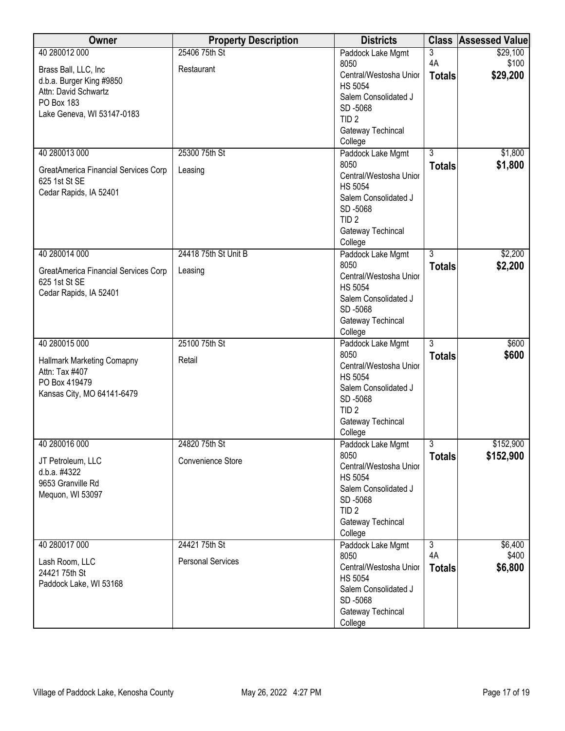| Owner                                                 | <b>Property Description</b> | <b>Districts</b>            |                | <b>Class Assessed Value</b> |
|-------------------------------------------------------|-----------------------------|-----------------------------|----------------|-----------------------------|
| 40 280012 000                                         | 25406 75th St               | Paddock Lake Mgmt           | $\overline{3}$ | \$29,100                    |
| Brass Ball, LLC, Inc                                  | Restaurant                  | 8050                        | 4A             | \$100                       |
| d.b.a. Burger King #9850                              |                             | Central/Westosha Unior      | <b>Totals</b>  | \$29,200                    |
| Attn: David Schwartz                                  |                             | <b>HS 5054</b>              |                |                             |
| PO Box 183                                            |                             | Salem Consolidated J        |                |                             |
| Lake Geneva, WI 53147-0183                            |                             | SD-5068<br>TID <sub>2</sub> |                |                             |
|                                                       |                             | Gateway Techincal           |                |                             |
|                                                       |                             | College                     |                |                             |
| 40 280013 000                                         | 25300 75th St               | Paddock Lake Mgmt           | $\overline{3}$ | \$1,800                     |
|                                                       |                             | 8050                        | <b>Totals</b>  | \$1,800                     |
| GreatAmerica Financial Services Corp                  | Leasing                     | Central/Westosha Unior      |                |                             |
| 625 1st St SE                                         |                             | <b>HS 5054</b>              |                |                             |
| Cedar Rapids, IA 52401                                |                             | Salem Consolidated J        |                |                             |
|                                                       |                             | SD-5068                     |                |                             |
|                                                       |                             | TID <sub>2</sub>            |                |                             |
|                                                       |                             | Gateway Techincal           |                |                             |
|                                                       |                             | College                     |                |                             |
| 40 280014 000                                         | 24418 75th St Unit B        | Paddock Lake Mgmt           | $\overline{3}$ | \$2,200                     |
|                                                       | Leasing                     | 8050                        | <b>Totals</b>  | \$2,200                     |
| GreatAmerica Financial Services Corp<br>625 1st St SE |                             | Central/Westosha Unior      |                |                             |
| Cedar Rapids, IA 52401                                |                             | <b>HS 5054</b>              |                |                             |
|                                                       |                             | Salem Consolidated J        |                |                             |
|                                                       |                             | SD-5068                     |                |                             |
|                                                       |                             | Gateway Techincal           |                |                             |
|                                                       |                             | College                     |                |                             |
| 40 280015 000                                         | 25100 75th St               | Paddock Lake Mgmt<br>8050   | $\overline{3}$ | \$600                       |
| <b>Hallmark Marketing Comapny</b>                     | Retail                      | Central/Westosha Unior      | <b>Totals</b>  | \$600                       |
| Attn: Tax #407                                        |                             | <b>HS 5054</b>              |                |                             |
| PO Box 419479                                         |                             | Salem Consolidated J        |                |                             |
| Kansas City, MO 64141-6479                            |                             | SD-5068                     |                |                             |
|                                                       |                             | TID <sub>2</sub>            |                |                             |
|                                                       |                             | Gateway Techincal           |                |                             |
|                                                       |                             | College                     |                |                             |
| 40 280016 000                                         | 24820 75th St               | Paddock Lake Mgmt           | 3              | \$152,900                   |
| JT Petroleum, LLC                                     | Convenience Store           | 8050                        | <b>Totals</b>  | \$152,900                   |
| d.b.a. #4322                                          |                             | Central/Westosha Unior      |                |                             |
| 9653 Granville Rd                                     |                             | <b>HS 5054</b>              |                |                             |
| Mequon, WI 53097                                      |                             | Salem Consolidated J        |                |                             |
|                                                       |                             | SD-5068                     |                |                             |
|                                                       |                             | TID <sub>2</sub>            |                |                             |
|                                                       |                             | Gateway Techincal           |                |                             |
| 40 280017 000                                         | 24421 75th St               | College                     | $\overline{3}$ | \$6,400                     |
|                                                       |                             | Paddock Lake Mgmt<br>8050   | 4A             | \$400                       |
| Lash Room, LLC                                        | <b>Personal Services</b>    | Central/Westosha Unior      |                | \$6,800                     |
| 24421 75th St                                         |                             | <b>HS 5054</b>              | <b>Totals</b>  |                             |
| Paddock Lake, WI 53168                                |                             | Salem Consolidated J        |                |                             |
|                                                       |                             | SD-5068                     |                |                             |
|                                                       |                             | Gateway Techincal           |                |                             |
|                                                       |                             | College                     |                |                             |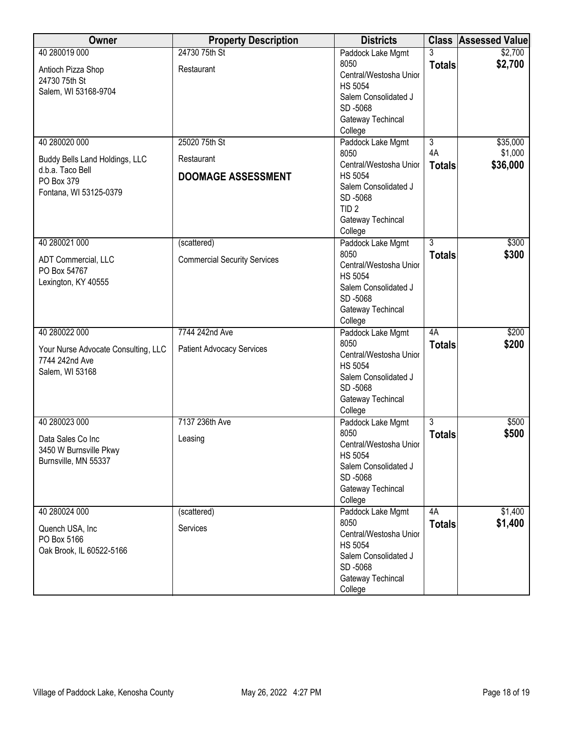| Owner                               | <b>Property Description</b>         | <b>Districts</b>             |                | <b>Class Assessed Value</b> |
|-------------------------------------|-------------------------------------|------------------------------|----------------|-----------------------------|
| 40 280019 000                       | 24730 75th St                       | Paddock Lake Mgmt            | 3              | \$2,700                     |
| Antioch Pizza Shop                  | Restaurant                          | 8050                         | <b>Totals</b>  | \$2,700                     |
| 24730 75th St                       |                                     | Central/Westosha Unior       |                |                             |
| Salem, WI 53168-9704                |                                     | <b>HS 5054</b>               |                |                             |
|                                     |                                     | Salem Consolidated J         |                |                             |
|                                     |                                     | SD-5068                      |                |                             |
|                                     |                                     | Gateway Techincal            |                |                             |
| 40 280020 000                       | 25020 75th St                       | College<br>Paddock Lake Mgmt | $\overline{3}$ | \$35,000                    |
|                                     |                                     | 8050                         | 4A             | \$1,000                     |
| Buddy Bells Land Holdings, LLC      | Restaurant                          | Central/Westosha Unior       | <b>Totals</b>  | \$36,000                    |
| d.b.a. Taco Bell                    | <b>DOOMAGE ASSESSMENT</b>           | <b>HS 5054</b>               |                |                             |
| PO Box 379                          |                                     | Salem Consolidated J         |                |                             |
| Fontana, WI 53125-0379              |                                     | SD-5068                      |                |                             |
|                                     |                                     | TID <sub>2</sub>             |                |                             |
|                                     |                                     | Gateway Techincal            |                |                             |
|                                     |                                     | College                      |                |                             |
| 40 280021 000                       | (scattered)                         | Paddock Lake Mgmt            | $\overline{3}$ | \$300                       |
| ADT Commercial, LLC                 | <b>Commercial Security Services</b> | 8050                         | <b>Totals</b>  | \$300                       |
| PO Box 54767                        |                                     | Central/Westosha Unior       |                |                             |
| Lexington, KY 40555                 |                                     | <b>HS 5054</b>               |                |                             |
|                                     |                                     | Salem Consolidated J         |                |                             |
|                                     |                                     | SD-5068                      |                |                             |
|                                     |                                     | Gateway Techincal            |                |                             |
| 40 280022 000                       | 7744 242nd Ave                      | College                      | 4A             | \$200                       |
|                                     |                                     | Paddock Lake Mgmt<br>8050    |                | \$200                       |
| Your Nurse Advocate Consulting, LLC | <b>Patient Advocacy Services</b>    | Central/Westosha Unior       | <b>Totals</b>  |                             |
| 7744 242nd Ave                      |                                     | <b>HS 5054</b>               |                |                             |
| Salem, WI 53168                     |                                     | Salem Consolidated J         |                |                             |
|                                     |                                     | SD-5068                      |                |                             |
|                                     |                                     | Gateway Techincal            |                |                             |
|                                     |                                     | College                      |                |                             |
| 40 280023 000                       | 7137 236th Ave                      | Paddock Lake Mgmt            | $\overline{3}$ | \$500                       |
| Data Sales Co Inc                   |                                     | 8050                         | <b>Totals</b>  | \$500                       |
| 3450 W Burnsville Pkwy              | Leasing                             | Central/Westosha Unior       |                |                             |
| Burnsville, MN 55337                |                                     | <b>HS 5054</b>               |                |                             |
|                                     |                                     | Salem Consolidated J         |                |                             |
|                                     |                                     | SD-5068                      |                |                             |
|                                     |                                     | Gateway Techincal            |                |                             |
|                                     |                                     | College                      |                |                             |
| 40 280024 000                       | (scattered)                         | Paddock Lake Mgmt<br>8050    | 4A             | \$1,400                     |
| Quench USA, Inc.                    | Services                            | Central/Westosha Unior       | <b>Totals</b>  | \$1,400                     |
| PO Box 5166                         |                                     | <b>HS 5054</b>               |                |                             |
| Oak Brook, IL 60522-5166            |                                     | Salem Consolidated J         |                |                             |
|                                     |                                     | SD-5068                      |                |                             |
|                                     |                                     | Gateway Techincal            |                |                             |
|                                     |                                     | College                      |                |                             |